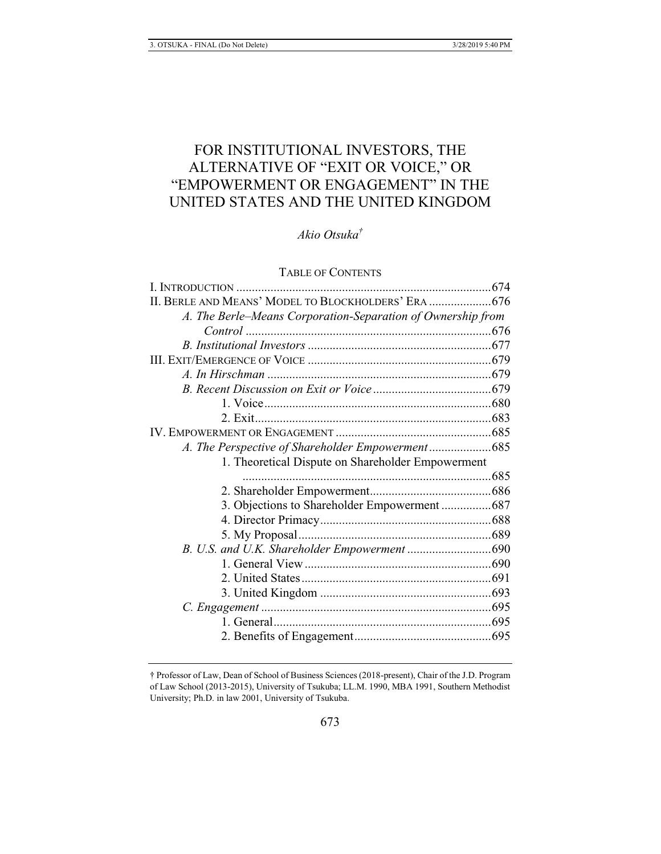# FOR INSTITUTIONAL INVESTORS, THE ALTERNATIVE OF "EXIT OR VOICE," OR "EMPOWERMENT OR ENGAGEMENT" IN THE UNITED STATES AND THE UNITED KINGDOM

*Akio Otsuka†*

# TABLE OF CONTENTS

| II. BERLE AND MEANS' MODEL TO BLOCKHOLDERS' ERA  676        |  |
|-------------------------------------------------------------|--|
| A. The Berle–Means Corporation-Separation of Ownership from |  |
|                                                             |  |
|                                                             |  |
|                                                             |  |
|                                                             |  |
|                                                             |  |
|                                                             |  |
|                                                             |  |
|                                                             |  |
|                                                             |  |
| 1. Theoretical Dispute on Shareholder Empowerment           |  |
|                                                             |  |
|                                                             |  |
| 3. Objections to Shareholder Empowerment  687               |  |
|                                                             |  |
|                                                             |  |
|                                                             |  |
|                                                             |  |
|                                                             |  |
|                                                             |  |
|                                                             |  |
|                                                             |  |
|                                                             |  |
|                                                             |  |

<sup>†</sup> Professor of Law, Dean of School of Business Sciences (2018-present), Chair of the J.D. Program of Law School (2013-2015), University of Tsukuba; LL.M. 1990, MBA 1991, Southern Methodist University; Ph.D. in law 2001, University of Tsukuba.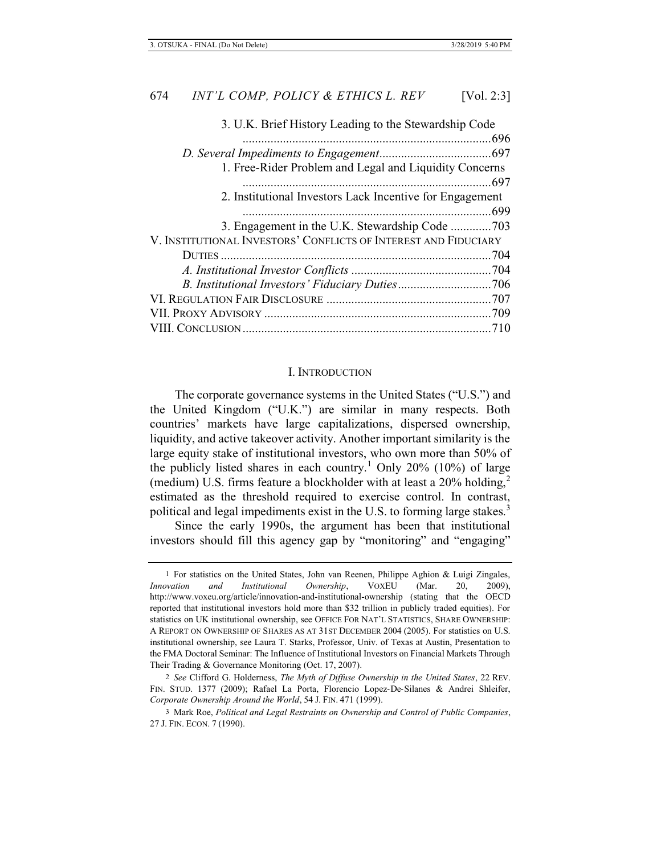| 3. U.K. Brief History Leading to the Stewardship Code           |  |
|-----------------------------------------------------------------|--|
|                                                                 |  |
|                                                                 |  |
| 1. Free-Rider Problem and Legal and Liquidity Concerns          |  |
|                                                                 |  |
| 2. Institutional Investors Lack Incentive for Engagement        |  |
|                                                                 |  |
|                                                                 |  |
| V. INSTITUTIONAL INVESTORS' CONFLICTS OF INTEREST AND FIDUCIARY |  |
|                                                                 |  |
|                                                                 |  |
|                                                                 |  |
|                                                                 |  |
|                                                                 |  |
|                                                                 |  |
|                                                                 |  |

#### I. INTRODUCTION

The corporate governance systems in the United States ("U.S.") and the United Kingdom ("U.K.") are similar in many respects. Both countries' markets have large capitalizations, dispersed ownership, liquidity, and active takeover activity. Another important similarity is the large equity stake of institutional investors, who own more than 50% of the publicly listed shares in each country.<sup>1</sup> Only 20% (10%) of large (medium) U.S. firms feature a blockholder with at least a  $20\%$  holding,<sup>2</sup> estimated as the threshold required to exercise control. In contrast, political and legal impediments exist in the U.S. to forming large stakes.<sup>3</sup>

Since the early 1990s, the argument has been that institutional investors should fill this agency gap by "monitoring" and "engaging"

<sup>1</sup> For statistics on the United States, John van Reenen, Philippe Aghion & Luigi Zingales, *Innovation and Institutional Ownership*, VOXEU (Mar. 20, 2009), http://www.voxeu.org/article/innovation-and-institutional-ownership (stating that the OECD reported that institutional investors hold more than \$32 trillion in publicly traded equities). For statistics on UK institutional ownership, see OFFICE FOR NAT'L STATISTICS, SHARE OWNERSHIP: A REPORT ON OWNERSHIP OF SHARES AS AT 31ST DECEMBER 2004 (2005). For statistics on U.S. institutional ownership, see Laura T. Starks, Professor, Univ. of Texas at Austin, Presentation to the FMA Doctoral Seminar: The Influence of Institutional Investors on Financial Markets Through Their Trading & Governance Monitoring (Oct. 17, 2007).

<sup>2</sup> *See* Clifford G. Holderness, *The Myth of Diffuse Ownership in the United States*, 22 REV. FIN. STUD. 1377 (2009); Rafael La Porta, Florencio Lopez-De-Silanes & Andrei Shleifer, *Corporate Ownership Around the World*, 54 J. FIN. 471 (1999).

<sup>3</sup> Mark Roe, *Political and Legal Restraints on Ownership and Control of Public Companies*, 27 J. FIN. ECON. 7 (1990).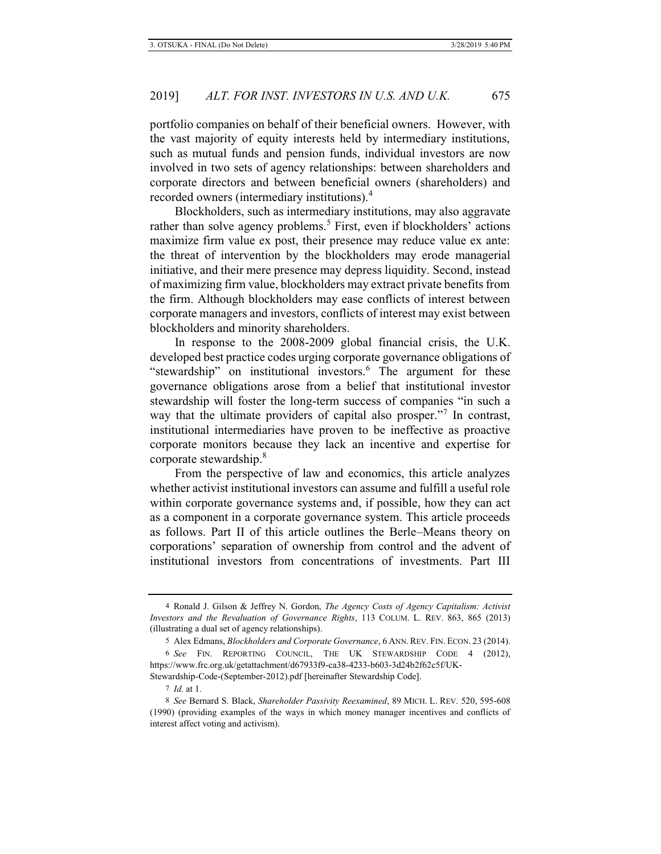portfolio companies on behalf of their beneficial owners. However, with the vast majority of equity interests held by intermediary institutions, such as mutual funds and pension funds, individual investors are now involved in two sets of agency relationships: between shareholders and corporate directors and between beneficial owners (shareholders) and recorded owners (intermediary institutions).<sup>4</sup>

Blockholders, such as intermediary institutions, may also aggravate rather than solve agency problems.<sup>5</sup> First, even if blockholders' actions maximize firm value ex post, their presence may reduce value ex ante: the threat of intervention by the blockholders may erode managerial initiative, and their mere presence may depress liquidity. Second, instead of maximizing firm value, blockholders may extract private benefits from the firm. Although blockholders may ease conflicts of interest between corporate managers and investors, conflicts of interest may exist between blockholders and minority shareholders.

In response to the 2008-2009 global financial crisis, the U.K. developed best practice codes urging corporate governance obligations of "stewardship" on institutional investors.<sup>6</sup> The argument for these governance obligations arose from a belief that institutional investor stewardship will foster the long-term success of companies "in such a way that the ultimate providers of capital also prosper."<sup>7</sup> In contrast, institutional intermediaries have proven to be ineffective as proactive corporate monitors because they lack an incentive and expertise for corporate stewardship.<sup>8</sup>

From the perspective of law and economics, this article analyzes whether activist institutional investors can assume and fulfill a useful role within corporate governance systems and, if possible, how they can act as a component in a corporate governance system. This article proceeds as follows. Part II of this article outlines the Berle–Means theory on corporations' separation of ownership from control and the advent of institutional investors from concentrations of investments. Part III

7 *Id.* at 1.

<sup>4</sup> Ronald J. Gilson & Jeffrey N. Gordon, *The Agency Costs of Agency Capitalism: Activist Investors and the Revaluation of Governance Rights*, 113 COLUM. L. REV. 863, 865 (2013) (illustrating a dual set of agency relationships).

<sup>5</sup> Alex Edmans, *Blockholders and Corporate Governance*, 6 ANN. REV. FIN. ECON. 23 (2014).

<sup>6</sup> *See* FIN. REPORTING COUNCIL, THE UK STEWARDSHIP CODE 4 (2012), https://www.frc.org.uk/getattachment/d67933f9-ca38-4233-b603-3d24b2f62c5f/UK-Stewardship-Code-(September-2012).pdf [hereinafter Stewardship Code].

<sup>8</sup> *See* Bernard S. Black, *Shareholder Passivity Reexamined*, 89 MICH. L. REV. 520, 595-608 (1990) (providing examples of the ways in which money manager incentives and conflicts of interest affect voting and activism).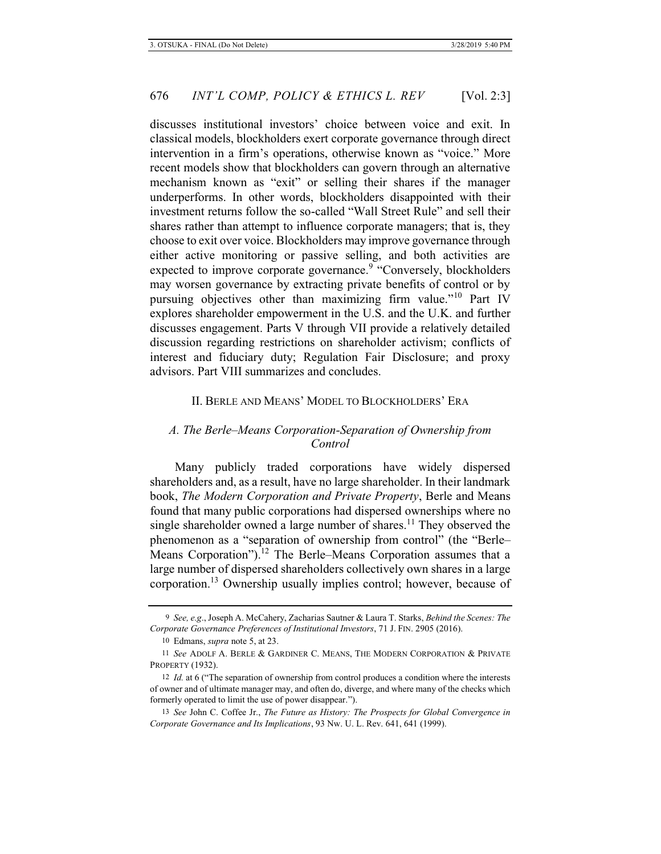discusses institutional investors' choice between voice and exit. In classical models, blockholders exert corporate governance through direct intervention in a firm's operations, otherwise known as "voice." More recent models show that blockholders can govern through an alternative mechanism known as "exit" or selling their shares if the manager underperforms. In other words, blockholders disappointed with their investment returns follow the so-called "Wall Street Rule" and sell their shares rather than attempt to influence corporate managers; that is, they choose to exit over voice. Blockholders may improve governance through either active monitoring or passive selling, and both activities are expected to improve corporate governance.<sup>9</sup> "Conversely, blockholders" may worsen governance by extracting private benefits of control or by pursuing objectives other than maximizing firm value."10 Part IV explores shareholder empowerment in the U.S. and the U.K. and further discusses engagement. Parts V through VII provide a relatively detailed discussion regarding restrictions on shareholder activism; conflicts of interest and fiduciary duty; Regulation Fair Disclosure; and proxy advisors. Part VIII summarizes and concludes.

## II. BERLE AND MEANS' MODEL TO BLOCKHOLDERS' ERA

# *A. The Berle–Means Corporation-Separation of Ownership from Control*

Many publicly traded corporations have widely dispersed shareholders and, as a result, have no large shareholder. In their landmark book, *The Modern Corporation and Private Property*, Berle and Means found that many public corporations had dispersed ownerships where no single shareholder owned a large number of shares.<sup>11</sup> They observed the phenomenon as a "separation of ownership from control" (the "Berle– Means Corporation").<sup>12</sup> The Berle–Means Corporation assumes that a large number of dispersed shareholders collectively own shares in a large corporation.13 Ownership usually implies control; however, because of

<sup>9</sup> *See, e.g*., Joseph A. McCahery, Zacharias Sautner & Laura T. Starks, *Behind the Scenes: The Corporate Governance Preferences of Institutional Investors*, 71 J. FIN. 2905 (2016).

<sup>10</sup> Edmans, *supra* note 5, at 23.

<sup>11</sup> *See* ADOLF A. BERLE & GARDINER C. MEANS, THE MODERN CORPORATION & PRIVATE PROPERTY (1932).

<sup>12</sup> *Id.* at 6 ("The separation of ownership from control produces a condition where the interests of owner and of ultimate manager may, and often do, diverge, and where many of the checks which formerly operated to limit the use of power disappear.").

<sup>13</sup> *See* John C. Coffee Jr., *The Future as History: The Prospects for Global Convergence in Corporate Governance and Its Implications*, 93 Nw. U. L. Rev. 641, 641 (1999).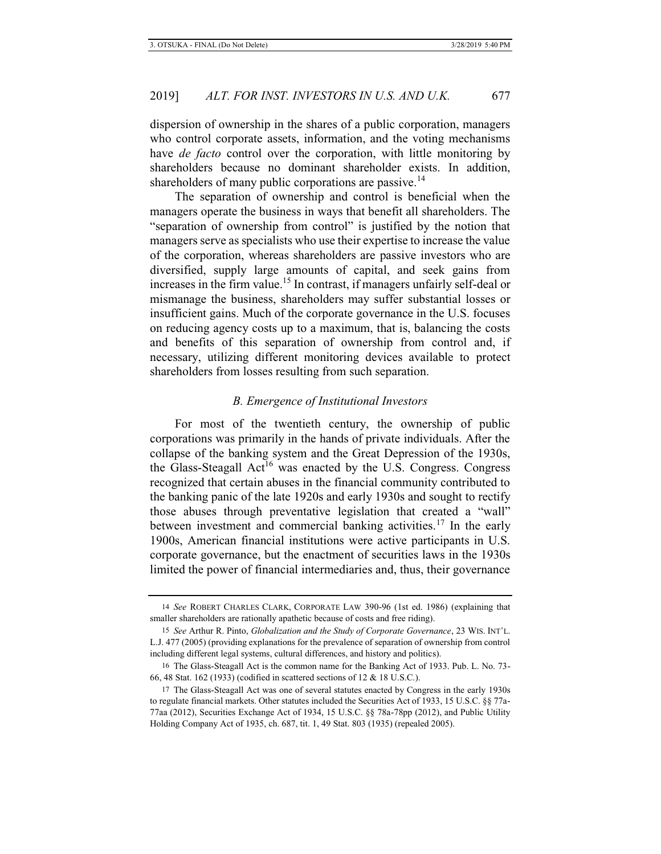dispersion of ownership in the shares of a public corporation, managers who control corporate assets, information, and the voting mechanisms have *de facto* control over the corporation, with little monitoring by shareholders because no dominant shareholder exists. In addition, shareholders of many public corporations are passive.<sup>14</sup>

The separation of ownership and control is beneficial when the managers operate the business in ways that benefit all shareholders. The "separation of ownership from control" is justified by the notion that managers serve as specialists who use their expertise to increase the value of the corporation, whereas shareholders are passive investors who are diversified, supply large amounts of capital, and seek gains from increases in the firm value.<sup>15</sup> In contrast, if managers unfairly self-deal or mismanage the business, shareholders may suffer substantial losses or insufficient gains. Much of the corporate governance in the U.S. focuses on reducing agency costs up to a maximum, that is, balancing the costs and benefits of this separation of ownership from control and, if necessary, utilizing different monitoring devices available to protect shareholders from losses resulting from such separation.

## *B. Emergence of Institutional Investors*

For most of the twentieth century, the ownership of public corporations was primarily in the hands of private individuals. After the collapse of the banking system and the Great Depression of the 1930s, the Glass-Steagall  $Act^{16}$  was enacted by the U.S. Congress. Congress recognized that certain abuses in the financial community contributed to the banking panic of the late 1920s and early 1930s and sought to rectify those abuses through preventative legislation that created a "wall" between investment and commercial banking activities.<sup>17</sup> In the early 1900s, American financial institutions were active participants in U.S. corporate governance, but the enactment of securities laws in the 1930s limited the power of financial intermediaries and, thus, their governance

<sup>14</sup> *See* ROBERT CHARLES CLARK, CORPORATE LAW 390-96 (1st ed. 1986) (explaining that smaller shareholders are rationally apathetic because of costs and free riding).

<sup>15</sup> *See* Arthur R. Pinto, *Globalization and the Study of Corporate Governance*, 23 WIS. INT'L. L.J. 477 (2005) (providing explanations for the prevalence of separation of ownership from control including different legal systems, cultural differences, and history and politics).

<sup>16</sup> The Glass-Steagall Act is the common name for the Banking Act of 1933. Pub. L. No. 73- 66, 48 Stat. 162 (1933) (codified in scattered sections of 12 & 18 U.S.C.).

<sup>17</sup> The Glass-Steagall Act was one of several statutes enacted by Congress in the early 1930s to regulate financial markets. Other statutes included the Securities Act of 1933, 15 U.S.C. §§ 77a-77aa (2012), Securities Exchange Act of 1934, 15 U.S.C. §§ 78a-78pp (2012), and Public Utility Holding Company Act of 1935, ch. 687, tit. 1, 49 Stat. 803 (1935) (repealed 2005).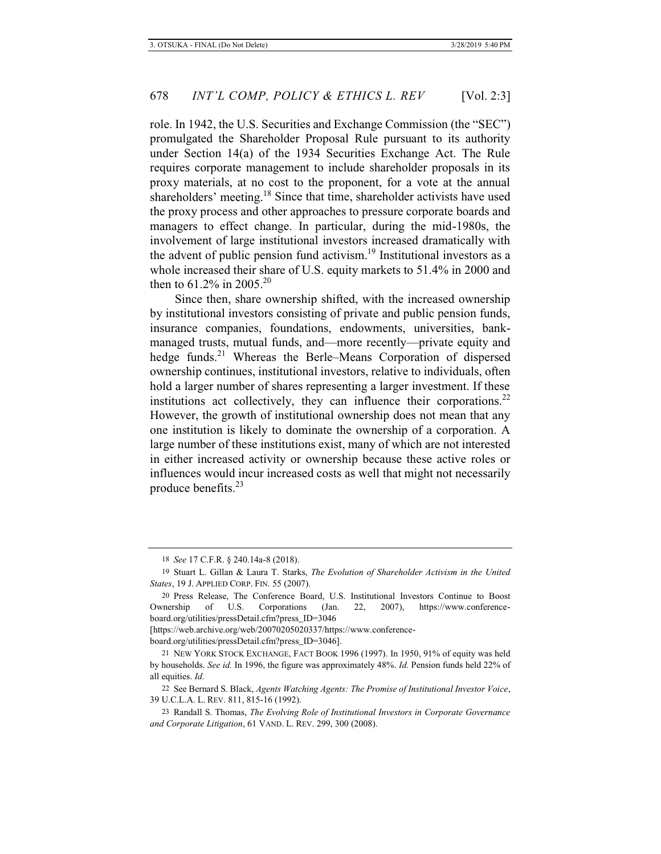role. In 1942, the U.S. Securities and Exchange Commission (the "SEC") promulgated the Shareholder Proposal Rule pursuant to its authority under Section 14(a) of the 1934 Securities Exchange Act. The Rule requires corporate management to include shareholder proposals in its proxy materials, at no cost to the proponent, for a vote at the annual shareholders' meeting.<sup>18</sup> Since that time, shareholder activists have used the proxy process and other approaches to pressure corporate boards and managers to effect change. In particular, during the mid-1980s, the involvement of large institutional investors increased dramatically with the advent of public pension fund activism.<sup>19</sup> Institutional investors as a whole increased their share of U.S. equity markets to 51.4% in 2000 and then to 61.2% in 2005.<sup>20</sup>

Since then, share ownership shifted, with the increased ownership by institutional investors consisting of private and public pension funds, insurance companies, foundations, endowments, universities, bankmanaged trusts, mutual funds, and—more recently—private equity and hedge funds.<sup>21</sup> Whereas the Berle–Means Corporation of dispersed ownership continues, institutional investors, relative to individuals, often hold a larger number of shares representing a larger investment. If these institutions act collectively, they can influence their corporations. $22$ However, the growth of institutional ownership does not mean that any one institution is likely to dominate the ownership of a corporation. A large number of these institutions exist, many of which are not interested in either increased activity or ownership because these active roles or influences would incur increased costs as well that might not necessarily produce benefits.23

[https://web.archive.org/web/20070205020337/https://www.conferenceboard.org/utilities/pressDetail.cfm?press\_ID=3046].

<sup>18</sup> *See* 17 C.F.R. § 240.14a-8 (2018).

<sup>19</sup> Stuart L. Gillan & Laura T. Starks, *The Evolution of Shareholder Activism in the United States*, 19 J. APPLIED CORP. FIN. 55 (2007).

<sup>20</sup> Press Release, The Conference Board, U.S. Institutional Investors Continue to Boost Ownership of U.S. Corporations (Jan. 22, 2007), https://www.conferenceboard.org/utilities/pressDetail.cfm?press\_ID=3046

<sup>21</sup> NEW YORK STOCK EXCHANGE, FACT BOOK 1996 (1997). In 1950, 91% of equity was held by households. *See id.* In 1996, the figure was approximately 48%. *Id.* Pension funds held 22% of all equities. *Id.*

<sup>22</sup> See Bernard S. Black, *Agents Watching Agents: The Promise of Institutional Investor Voice*, 39 U.C.L.A. L. REV. 811, 815-16 (1992).

<sup>23</sup> Randall S. Thomas, *The Evolving Role of Institutional Investors in Corporate Governance and Corporate Litigation*, 61 VAND. L. REV. 299, 300 (2008).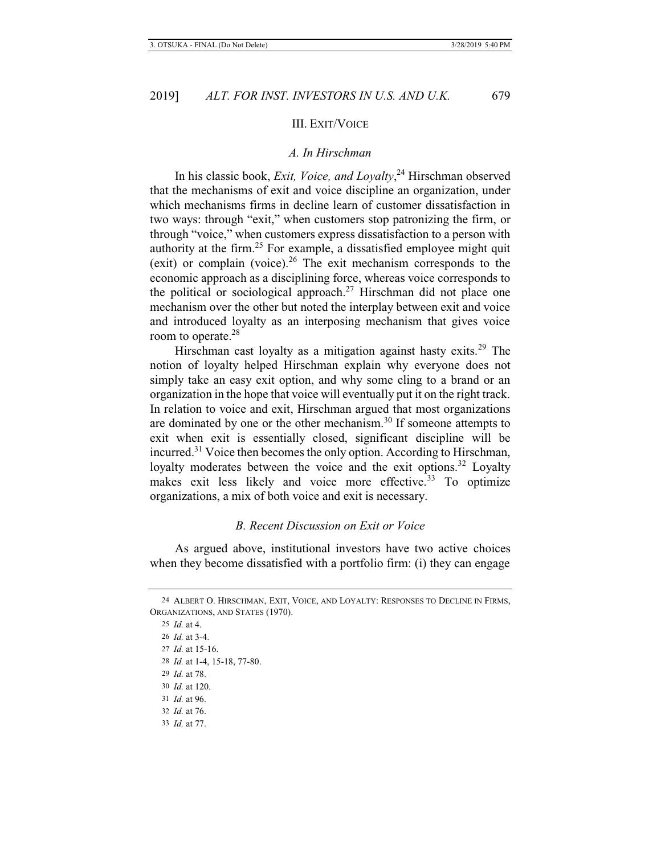#### III. EXIT/VOICE

## *A. In Hirschman*

In his classic book, *Exit, Voice, and Loyalty*, 24 Hirschman observed that the mechanisms of exit and voice discipline an organization, under which mechanisms firms in decline learn of customer dissatisfaction in two ways: through "exit," when customers stop patronizing the firm, or through "voice," when customers express dissatisfaction to a person with authority at the firm.25 For example, a dissatisfied employee might quit (exit) or complain (voice).26 The exit mechanism corresponds to the economic approach as a disciplining force, whereas voice corresponds to the political or sociological approach.<sup>27</sup> Hirschman did not place one mechanism over the other but noted the interplay between exit and voice and introduced loyalty as an interposing mechanism that gives voice room to operate.<sup>28</sup>

Hirschman cast loyalty as a mitigation against hasty exits.<sup>29</sup> The notion of loyalty helped Hirschman explain why everyone does not simply take an easy exit option, and why some cling to a brand or an organization in the hope that voice will eventually put it on the right track. In relation to voice and exit, Hirschman argued that most organizations are dominated by one or the other mechanism.30 If someone attempts to exit when exit is essentially closed, significant discipline will be incurred.<sup>31</sup> Voice then becomes the only option. According to Hirschman, loyalty moderates between the voice and the exit options.<sup>32</sup> Loyalty makes exit less likely and voice more effective.<sup>33</sup> To optimize organizations, a mix of both voice and exit is necessary.

## *B. Recent Discussion on Exit or Voice*

As argued above, institutional investors have two active choices when they become dissatisfied with a portfolio firm: (i) they can engage

 *Id.* at 4.  *Id.* at 3-4.  *Id.* at 15-16.  *Id.* at 1-4, 15-18, 77-80.  *Id.* at 78.  *Id.* at 120.  *Id.* at 96.  *Id.* at 76.

33 *Id.* at 77.

<sup>24</sup> ALBERT O. HIRSCHMAN, EXIT, VOICE, AND LOYALTY: RESPONSES TO DECLINE IN FIRMS, ORGANIZATIONS, AND STATES (1970).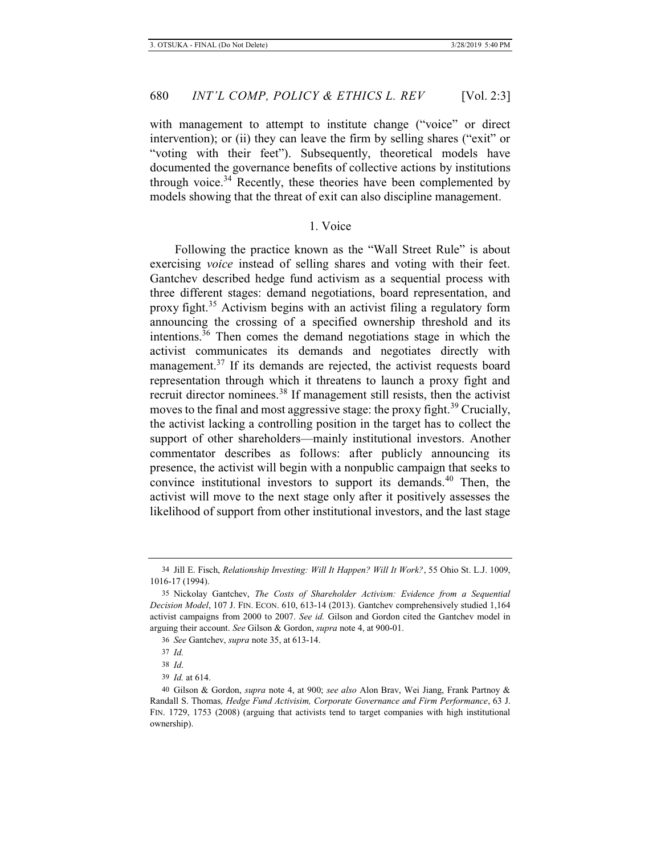with management to attempt to institute change ("voice" or direct intervention); or (ii) they can leave the firm by selling shares ("exit" or "voting with their feet"). Subsequently, theoretical models have documented the governance benefits of collective actions by institutions through voice.<sup>34</sup> Recently, these theories have been complemented by models showing that the threat of exit can also discipline management.

# 1. Voice

Following the practice known as the "Wall Street Rule" is about exercising *voice* instead of selling shares and voting with their feet. Gantchev described hedge fund activism as a sequential process with three different stages: demand negotiations, board representation, and proxy fight.35 Activism begins with an activist filing a regulatory form announcing the crossing of a specified ownership threshold and its intentions. $36$  Then comes the demand negotiations stage in which the activist communicates its demands and negotiates directly with management.<sup>37</sup> If its demands are rejected, the activist requests board representation through which it threatens to launch a proxy fight and recruit director nominees.<sup>38</sup> If management still resists, then the activist moves to the final and most aggressive stage: the proxy fight.<sup>39</sup> Crucially, the activist lacking a controlling position in the target has to collect the support of other shareholders—mainly institutional investors. Another commentator describes as follows: after publicly announcing its presence, the activist will begin with a nonpublic campaign that seeks to convince institutional investors to support its demands.<sup>40</sup> Then, the activist will move to the next stage only after it positively assesses the likelihood of support from other institutional investors, and the last stage

<sup>34</sup> Jill E. Fisch, *Relationship Investing: Will It Happen? Will It Work?*, 55 Ohio St. L.J. 1009, 1016-17 (1994).

<sup>35</sup> Nickolay Gantchev, *The Costs of Shareholder Activism: Evidence from a Sequential Decision Model*, 107 J. FIN. ECON. 610, 613-14 (2013). Gantchev comprehensively studied 1,164 activist campaigns from 2000 to 2007. *See id.* Gilson and Gordon cited the Gantchev model in arguing their account. *See* Gilson & Gordon, *supra* note 4, at 900-01.

<sup>36</sup> *See* Gantchev, *supra* note 35, at 613-14.

<sup>37</sup> *Id.*

<sup>38</sup> *Id*.

<sup>39</sup> *Id.* at 614.

<sup>40</sup> Gilson & Gordon, *supra* note 4, at 900; *see also* Alon Brav, Wei Jiang, Frank Partnoy & Randall S. Thomas*, Hedge Fund Activisim, Corporate Governance and Firm Performance*, 63 J. FIN. 1729, 1753 (2008) (arguing that activists tend to target companies with high institutional ownership).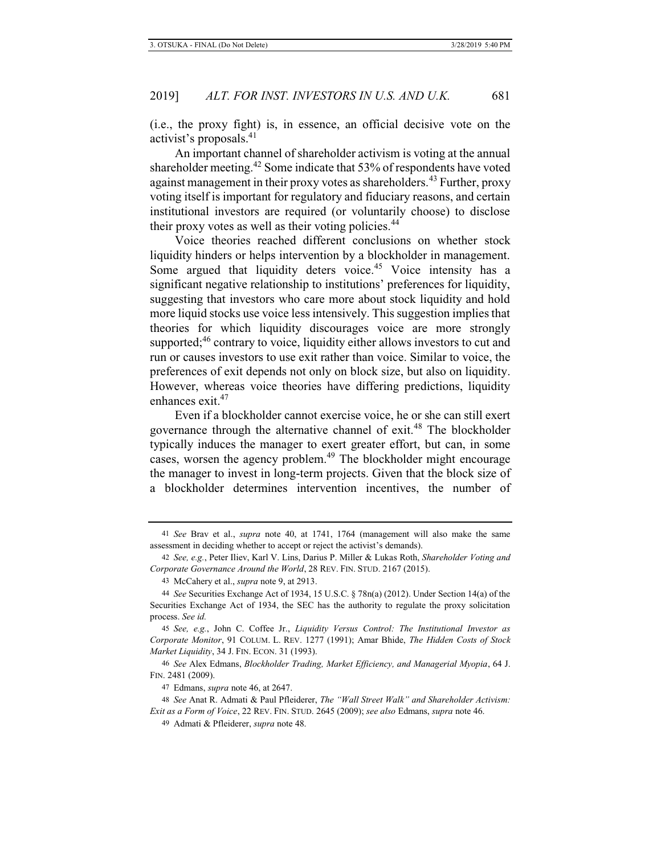(i.e., the proxy fight) is, in essence, an official decisive vote on the activist's proposals.<sup>41</sup>

An important channel of shareholder activism is voting at the annual shareholder meeting.<sup>42</sup> Some indicate that 53% of respondents have voted against management in their proxy votes as shareholders.<sup>43</sup> Further, proxy voting itself is important for regulatory and fiduciary reasons, and certain institutional investors are required (or voluntarily choose) to disclose their proxy votes as well as their voting policies.<sup>44</sup>

Voice theories reached different conclusions on whether stock liquidity hinders or helps intervention by a blockholder in management. Some argued that liquidity deters voice.<sup>45</sup> Voice intensity has a significant negative relationship to institutions' preferences for liquidity, suggesting that investors who care more about stock liquidity and hold more liquid stocks use voice less intensively. This suggestion implies that theories for which liquidity discourages voice are more strongly supported;<sup>46</sup> contrary to voice, liquidity either allows investors to cut and run or causes investors to use exit rather than voice. Similar to voice, the preferences of exit depends not only on block size, but also on liquidity. However, whereas voice theories have differing predictions, liquidity enhances exit.<sup>47</sup>

Even if a blockholder cannot exercise voice, he or she can still exert governance through the alternative channel of exit.<sup>48</sup> The blockholder typically induces the manager to exert greater effort, but can, in some cases, worsen the agency problem.<sup>49</sup> The blockholder might encourage the manager to invest in long-term projects. Given that the block size of a blockholder determines intervention incentives, the number of

45 *See, e.g.*, John C. Coffee Jr., *Liquidity Versus Control: The Institutional Investor as Corporate Monitor*, 91 COLUM. L. REV. 1277 (1991); Amar Bhide, *The Hidden Costs of Stock Market Liquidity*, 34 J. FIN. ECON. 31 (1993).

46 *See* Alex Edmans, *Blockholder Trading, Market Efficiency, and Managerial Myopia*, 64 J. FIN. 2481 (2009).

47 Edmans, *supra* note 46, at 2647.

48 *See* Anat R. Admati & Paul Pfleiderer, *The "Wall Street Walk" and Shareholder Activism: Exit as a Form of Voice*, 22 REV. FIN. STUD. 2645 (2009); *see also* Edmans, *supra* note 46.

49 Admati & Pfleiderer, *supra* note 48.

<sup>41</sup> *See* Brav et al., *supra* note 40, at 1741, 1764 (management will also make the same assessment in deciding whether to accept or reject the activist's demands).

<sup>42</sup> *See, e.g.*, Peter Iliev, Karl V. Lins, Darius P. Miller & Lukas Roth, *Shareholder Voting and Corporate Governance Around the World*, 28 REV. FIN. STUD. 2167 (2015).

<sup>43</sup> McCahery et al., *supra* note 9, at 2913.

<sup>44</sup> *See* Securities Exchange Act of 1934, 15 U.S.C. § 78n(a) (2012). Under Section 14(a) of the Securities Exchange Act of 1934, the SEC has the authority to regulate the proxy solicitation process. *See id.*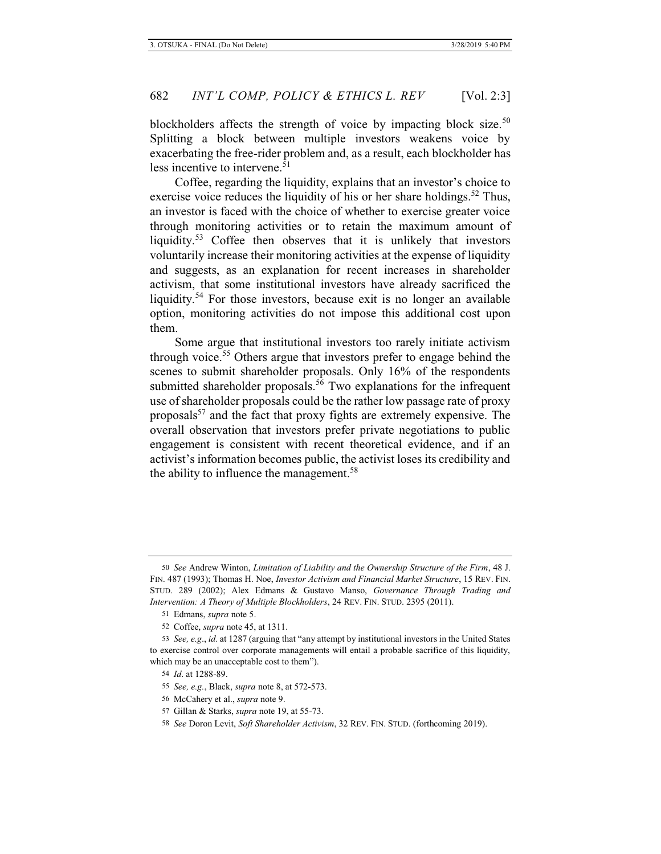blockholders affects the strength of voice by impacting block size.<sup>50</sup> Splitting a block between multiple investors weakens voice by exacerbating the free-rider problem and, as a result, each blockholder has less incentive to intervene.<sup>51</sup>

Coffee, regarding the liquidity, explains that an investor's choice to exercise voice reduces the liquidity of his or her share holdings.<sup>52</sup> Thus, an investor is faced with the choice of whether to exercise greater voice through monitoring activities or to retain the maximum amount of liquidity.<sup>53</sup> Coffee then observes that it is unlikely that investors voluntarily increase their monitoring activities at the expense of liquidity and suggests, as an explanation for recent increases in shareholder activism, that some institutional investors have already sacrificed the liquidity.<sup>54</sup> For those investors, because exit is no longer an available option, monitoring activities do not impose this additional cost upon them.

Some argue that institutional investors too rarely initiate activism through voice.<sup>55</sup> Others argue that investors prefer to engage behind the scenes to submit shareholder proposals. Only 16% of the respondents submitted shareholder proposals.<sup>56</sup> Two explanations for the infrequent use of shareholder proposals could be the rather low passage rate of proxy proposals<sup>57</sup> and the fact that proxy fights are extremely expensive. The overall observation that investors prefer private negotiations to public engagement is consistent with recent theoretical evidence, and if an activist's information becomes public, the activist loses its credibility and the ability to influence the management.<sup>58</sup>

<sup>50</sup> *See* Andrew Winton, *Limitation of Liability and the Ownership Structure of the Firm*, 48 J. FIN. 487 (1993); Thomas H. Noe, *Investor Activism and Financial Market Structure*, 15 REV. FIN. STUD. 289 (2002); Alex Edmans & Gustavo Manso, *Governance Through Trading and Intervention: A Theory of Multiple Blockholders*, 24 REV. FIN. STUD. 2395 (2011).

<sup>51</sup> Edmans, *supra* note 5.

<sup>52</sup> Coffee, *supra* note 45, at 1311.

<sup>53</sup> *See, e.g*., *id.* at 1287 (arguing that "any attempt by institutional investors in the United States to exercise control over corporate managements will entail a probable sacrifice of this liquidity, which may be an unacceptable cost to them").

<sup>54</sup> *Id*. at 1288-89.

<sup>55</sup> *See, e.g.*, Black, *supra* note 8, at 572-573.

<sup>56</sup> McCahery et al., *supra* note 9.

<sup>57</sup> Gillan & Starks, *supra* note 19, at 55-73.

<sup>58</sup> *See* Doron Levit, *Soft Shareholder Activism*, 32 REV. FIN. STUD. (forthcoming 2019).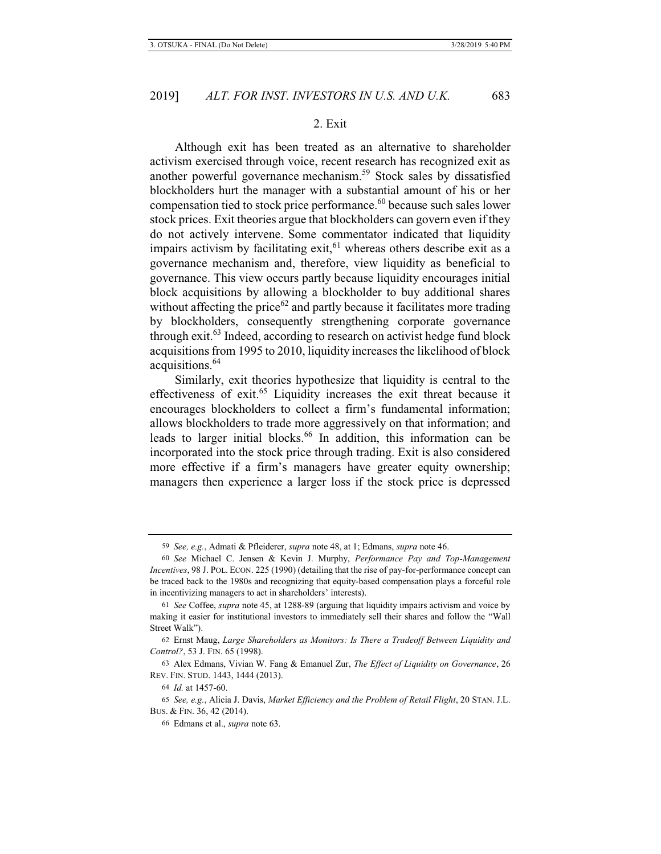#### 2. Exit

Although exit has been treated as an alternative to shareholder activism exercised through voice, recent research has recognized exit as another powerful governance mechanism.59 Stock sales by dissatisfied blockholders hurt the manager with a substantial amount of his or her compensation tied to stock price performance.<sup>60</sup> because such sales lower stock prices. Exit theories argue that blockholders can govern even if they do not actively intervene. Some commentator indicated that liquidity impairs activism by facilitating exit, $61$  whereas others describe exit as a governance mechanism and, therefore, view liquidity as beneficial to governance. This view occurs partly because liquidity encourages initial block acquisitions by allowing a blockholder to buy additional shares without affecting the price $62$  and partly because it facilitates more trading by blockholders, consequently strengthening corporate governance through exit. $63$  Indeed, according to research on activist hedge fund block acquisitions from 1995 to 2010, liquidity increases the likelihood of block acquisitions.64

Similarly, exit theories hypothesize that liquidity is central to the effectiveness of exit.<sup>65</sup> Liquidity increases the exit threat because it encourages blockholders to collect a firm's fundamental information; allows blockholders to trade more aggressively on that information; and leads to larger initial blocks.<sup>66</sup> In addition, this information can be incorporated into the stock price through trading. Exit is also considered more effective if a firm's managers have greater equity ownership; managers then experience a larger loss if the stock price is depressed

<sup>59</sup> *See, e.g.*, Admati & Pfleiderer, *supra* note 48, at 1; Edmans, *supra* note 46.

<sup>60</sup> *See* Michael C. Jensen & Kevin J. Murphy, *Performance Pay and Top-Management Incentives*, 98 J. POL. ECON. 225 (1990) (detailing that the rise of pay-for-performance concept can be traced back to the 1980s and recognizing that equity-based compensation plays a forceful role in incentivizing managers to act in shareholders' interests).

<sup>61</sup> *See* Coffee, *supra* note 45, at 1288-89 (arguing that liquidity impairs activism and voice by making it easier for institutional investors to immediately sell their shares and follow the "Wall Street Walk").

<sup>62</sup> Ernst Maug, *Large Shareholders as Monitors: Is There a Tradeoff Between Liquidity and Control?*, 53 J. FIN. 65 (1998).

<sup>63</sup> Alex Edmans, Vivian W. Fang & Emanuel Zur, *The Effect of Liquidity on Governance*, 26 REV. FIN. STUD. 1443, 1444 (2013).

<sup>64</sup> *Id.* at 1457-60.

<sup>65</sup> *See, e.g.*, Alicia J. Davis, *Market Efficiency and the Problem of Retail Flight*, 20 STAN. J.L. BUS. & FIN. 36, 42 (2014).

<sup>66</sup> Edmans et al., *supra* note 63.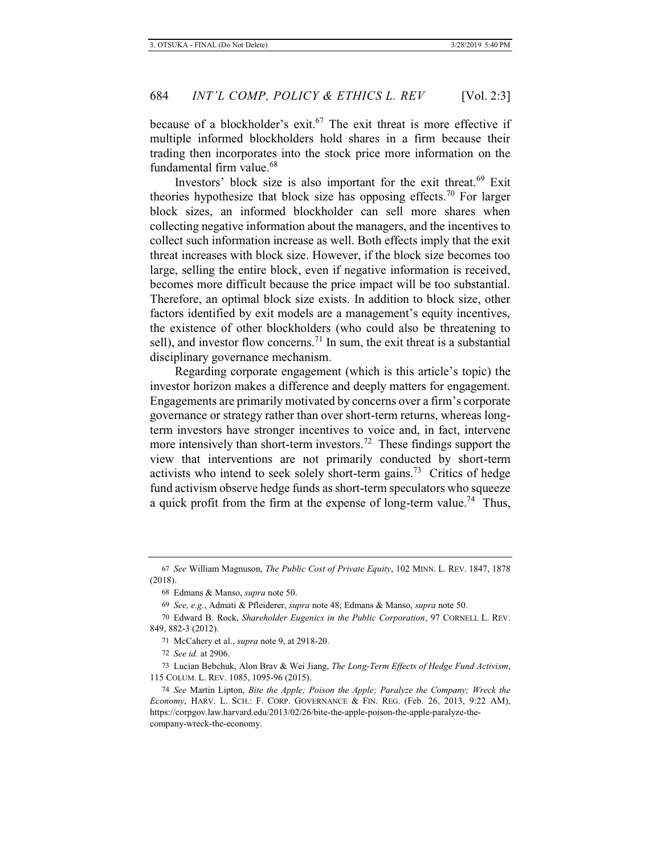because of a blockholder's exit.<sup>67</sup> The exit threat is more effective if multiple informed blockholders hold shares in a firm because their trading then incorporates into the stock price more information on the fundamental firm value.<sup>68</sup>

Investors' block size is also important for the exit threat.<sup>69</sup> Exit theories hypothesize that block size has opposing effects.<sup>70</sup> For larger block sizes, an informed blockholder can sell more shares when collecting negative information about the managers, and the incentives to collect such information increase as well. Both effects imply that the exit threat increases with block size. However, if the block size becomes too large, selling the entire block, even if negative information is received, becomes more difficult because the price impact will be too substantial. Therefore, an optimal block size exists. In addition to block size, other factors identified by exit models are a management's equity incentives, the existence of other blockholders (who could also be threatening to sell), and investor flow concerns.<sup>71</sup> In sum, the exit threat is a substantial disciplinary governance mechanism.

Regarding corporate engagement (which is this article's topic) the investor horizon makes a difference and deeply matters for engagement. Engagements are primarily motivated by concerns over a firm's corporate governance or strategy rather than over short-term returns, whereas longterm investors have stronger incentives to voice and, in fact, intervene more intensively than short-term investors.<sup>72</sup> These findings support the view that interventions are not primarily conducted by short-term activists who intend to seek solely short-term gains.<sup>73</sup> Critics of hedge fund activism observe hedge funds as short-term speculators who squeeze a quick profit from the firm at the expense of long-term value.<sup>74</sup> Thus,

<sup>67</sup> *See* William Magnuson, *The Public Cost of Private Equity*, 102 MINN. L. REV. 1847, 1878 (2018).

<sup>68</sup> Edmans & Manso, *supra* note 50.

<sup>69</sup> *See, e.g.*, Admati & Pfleiderer, *supra* note 48; Edmans & Manso, *supra* note 50.

<sup>70</sup> Edward B. Rock, *Shareholder Eugenics in the Public Corporation*, 97 CORNELL L. REV. 849, 882-3 (2012).

<sup>71</sup> McCahery et al., *supra* note 9, at 2918-20.

<sup>72</sup> *See id.* at 2906.

<sup>73</sup> Lucian Bebchuk, Alon Brav & Wei Jiang, *The Long-Term Effects of Hedge Fund Activism*, 115 COLUM. L. REV. 1085, 1095-96 (2015).

<sup>74</sup> *See* Martin Lipton, *Bite the Apple; Poison the Apple; Paralyze the Company; Wreck the Economy*, HARV. L. SCH.: F. CORP. GOVERNANCE & FIN. REG. (Feb. 26, 2013, 9:22 AM), https://corpgov.law.harvard.edu/2013/02/26/bite-the-apple-poison-the-apple-paralyze-thecompany-wreck-the-economy.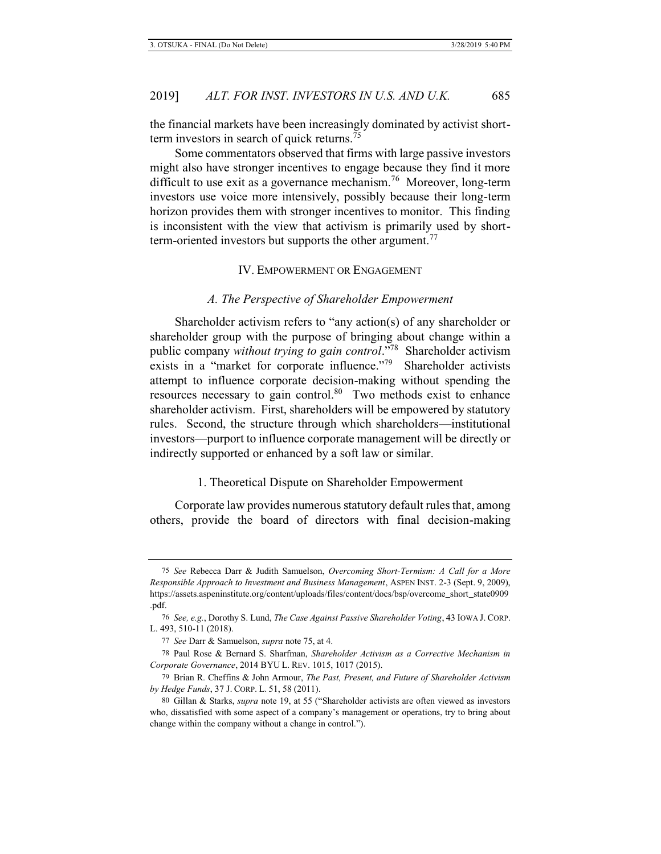the financial markets have been increasingly dominated by activist shortterm investors in search of quick returns.

Some commentators observed that firms with large passive investors might also have stronger incentives to engage because they find it more difficult to use exit as a governance mechanism.<sup>76</sup> Moreover, long-term investors use voice more intensively, possibly because their long-term horizon provides them with stronger incentives to monitor. This finding is inconsistent with the view that activism is primarily used by shortterm-oriented investors but supports the other argument.<sup>77</sup>

#### IV. EMPOWERMENT OR ENGAGEMENT

### *A. The Perspective of Shareholder Empowerment*

Shareholder activism refers to "any action(s) of any shareholder or shareholder group with the purpose of bringing about change within a public company *without trying to gain control*."78 Shareholder activism exists in a "market for corporate influence."<sup>79</sup> Shareholder activists attempt to influence corporate decision-making without spending the resources necessary to gain control.<sup>80</sup> Two methods exist to enhance shareholder activism. First, shareholders will be empowered by statutory rules. Second, the structure through which shareholders—institutional investors—purport to influence corporate management will be directly or indirectly supported or enhanced by a soft law or similar.

## 1. Theoretical Dispute on Shareholder Empowerment

Corporate law provides numerous statutory default rules that, among others, provide the board of directors with final decision-making

<sup>75</sup> *See* Rebecca Darr & Judith Samuelson, *Overcoming Short-Termism: A Call for a More Responsible Approach to Investment and Business Management*, ASPEN INST. 2-3 (Sept. 9, 2009), https://assets.aspeninstitute.org/content/uploads/files/content/docs/bsp/overcome\_short\_state0909 .pdf.

<sup>76</sup> *See, e.g.*, Dorothy S. Lund, *The Case Against Passive Shareholder Voting*, 43 IOWA J. CORP. L. 493, 510-11 (2018).

<sup>77</sup> *See* Darr & Samuelson, *supra* note 75, at 4.

<sup>78</sup> Paul Rose & Bernard S. Sharfman, *Shareholder Activism as a Corrective Mechanism in Corporate Governance*, 2014 BYU L. REV. 1015, 1017 (2015).

<sup>79</sup> Brian R. Cheffins & John Armour, *The Past, Present, and Future of Shareholder Activism by Hedge Funds*, 37 J. CORP. L. 51, 58 (2011).

<sup>80</sup> Gillan & Starks, *supra* note 19, at 55 ("Shareholder activists are often viewed as investors who, dissatisfied with some aspect of a company's management or operations, try to bring about change within the company without a change in control.").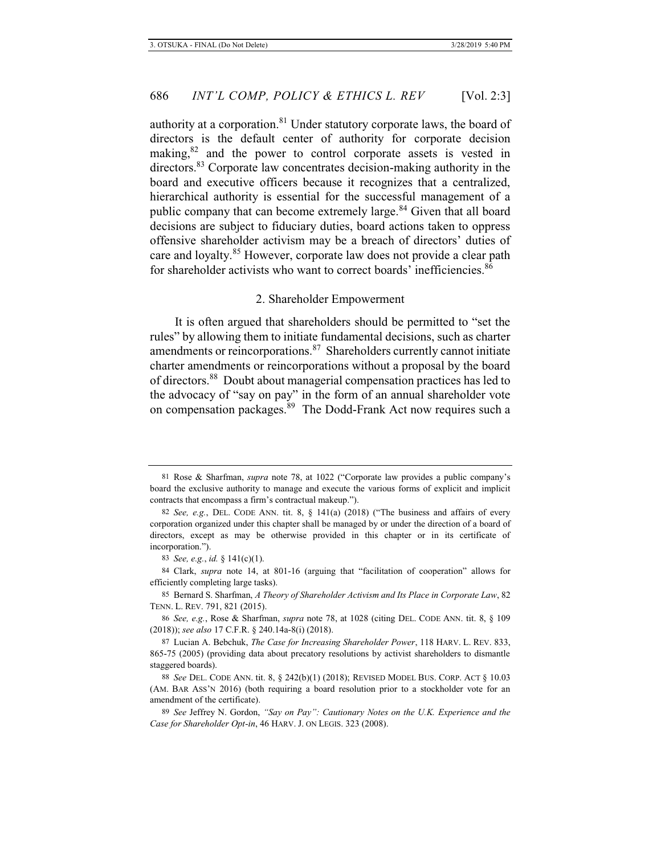authority at a corporation.<sup>81</sup> Under statutory corporate laws, the board of directors is the default center of authority for corporate decision making,<sup>82</sup> and the power to control corporate assets is vested in directors.<sup>83</sup> Corporate law concentrates decision-making authority in the board and executive officers because it recognizes that a centralized, hierarchical authority is essential for the successful management of a public company that can become extremely large.<sup>84</sup> Given that all board decisions are subject to fiduciary duties, board actions taken to oppress offensive shareholder activism may be a breach of directors' duties of care and loyalty.<sup>85</sup> However, corporate law does not provide a clear path for shareholder activists who want to correct boards' inefficiencies.<sup>86</sup>

#### 2. Shareholder Empowerment

It is often argued that shareholders should be permitted to "set the rules" by allowing them to initiate fundamental decisions, such as charter amendments or reincorporations.<sup>87</sup> Shareholders currently cannot initiate charter amendments or reincorporations without a proposal by the board of directors.88 Doubt about managerial compensation practices has led to the advocacy of "say on pay" in the form of an annual shareholder vote on compensation packages.<sup>89</sup> The Dodd-Frank Act now requires such a

<sup>81</sup> Rose & Sharfman, *supra* note 78, at 1022 ("Corporate law provides a public company's board the exclusive authority to manage and execute the various forms of explicit and implicit contracts that encompass a firm's contractual makeup.").

<sup>82</sup> *See, e.g.*, DEL. CODE ANN. tit. 8, § 141(a) (2018) ("The business and affairs of every corporation organized under this chapter shall be managed by or under the direction of a board of directors, except as may be otherwise provided in this chapter or in its certificate of incorporation.").

<sup>83</sup> *See, e.g.*, *id.* § 141(c)(1).

<sup>84</sup> Clark, *supra* note 14, at 801-16 (arguing that "facilitation of cooperation" allows for efficiently completing large tasks).

<sup>85</sup> Bernard S. Sharfman, *A Theory of Shareholder Activism and Its Place in Corporate Law*, 82 TENN. L. REV. 791, 821 (2015).

<sup>86</sup> *See, e.g.*, Rose & Sharfman, *supra* note 78, at 1028 (citing DEL. CODE ANN. tit. 8, § 109 (2018)); *see also* 17 C.F.R. § 240.14a-8(i) (2018).

<sup>87</sup> Lucian A. Bebchuk, *The Case for Increasing Shareholder Power*, 118 HARV. L. REV. 833, 865-75 (2005) (providing data about precatory resolutions by activist shareholders to dismantle staggered boards).

<sup>88</sup> *See* DEL. CODE ANN. tit. 8, § 242(b)(1) (2018); REVISED MODEL BUS. CORP. ACT § 10.03 (AM. BAR ASS'N 2016) (both requiring a board resolution prior to a stockholder vote for an amendment of the certificate).

<sup>89</sup> *See* Jeffrey N. Gordon, *"Say on Pay": Cautionary Notes on the U.K. Experience and the Case for Shareholder Opt-in*, 46 HARV. J. ON LEGIS. 323 (2008).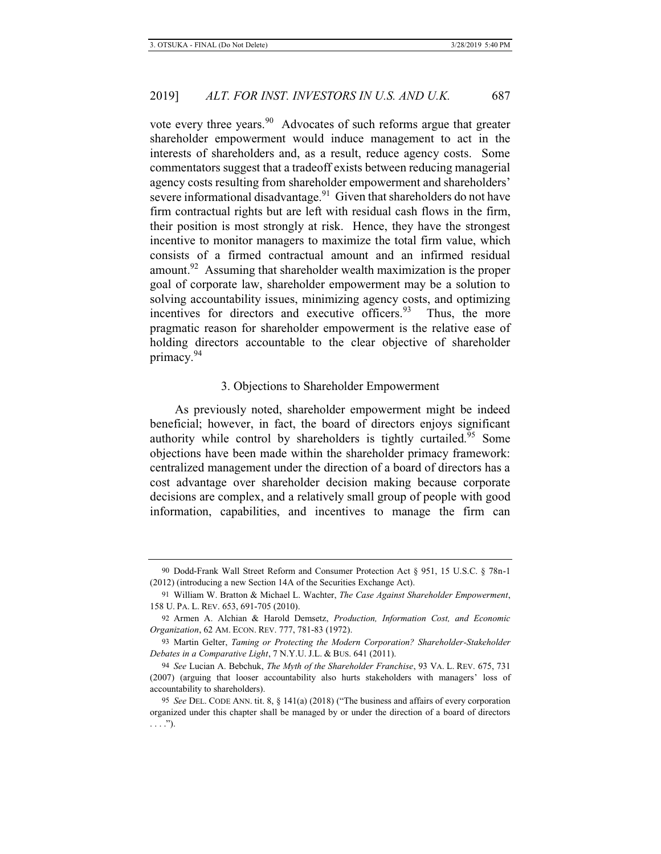vote every three years.<sup>90</sup> Advocates of such reforms argue that greater shareholder empowerment would induce management to act in the interests of shareholders and, as a result, reduce agency costs. Some commentators suggest that a tradeoff exists between reducing managerial agency costs resulting from shareholder empowerment and shareholders' severe informational disadvantage.<sup>91</sup> Given that shareholders do not have firm contractual rights but are left with residual cash flows in the firm, their position is most strongly at risk. Hence, they have the strongest incentive to monitor managers to maximize the total firm value, which consists of a firmed contractual amount and an infirmed residual amount.<sup>92</sup> Assuming that shareholder wealth maximization is the proper goal of corporate law, shareholder empowerment may be a solution to solving accountability issues, minimizing agency costs, and optimizing incentives for directors and executive officers.<sup>93</sup> Thus, the more pragmatic reason for shareholder empowerment is the relative ease of holding directors accountable to the clear objective of shareholder primacy.<sup>94</sup>

## 3. Objections to Shareholder Empowerment

As previously noted, shareholder empowerment might be indeed beneficial; however, in fact, the board of directors enjoys significant authority while control by shareholders is tightly curtailed.<sup> $95$ </sup> Some objections have been made within the shareholder primacy framework: centralized management under the direction of a board of directors has a cost advantage over shareholder decision making because corporate decisions are complex, and a relatively small group of people with good information, capabilities, and incentives to manage the firm can

<sup>90</sup> Dodd-Frank Wall Street Reform and Consumer Protection Act § 951, 15 U.S.C. § 78n-1 (2012) (introducing a new Section 14A of the Securities Exchange Act).

<sup>91</sup> William W. Bratton & Michael L. Wachter, *The Case Against Shareholder Empowerment*, 158 U. PA. L. REV. 653, 691-705 (2010).

<sup>92</sup> Armen A. Alchian & Harold Demsetz, *Production, Information Cost, and Economic Organization*, 62 AM. ECON. REV. 777, 781-83 (1972).

<sup>93</sup> Martin Gelter, *Taming or Protecting the Modern Corporation? Shareholder-Stakeholder Debates in a Comparative Light*, 7 N.Y.U. J.L. & BUS. 641 (2011).

<sup>94</sup> *See* Lucian A. Bebchuk, *The Myth of the Shareholder Franchise*, 93 VA. L. REV. 675, 731 (2007) (arguing that looser accountability also hurts stakeholders with managers' loss of accountability to shareholders).

<sup>95</sup> *See* DEL. CODE ANN. tit. 8, § 141(a) (2018) ("The business and affairs of every corporation organized under this chapter shall be managed by or under the direction of a board of directors  $\ldots$ .").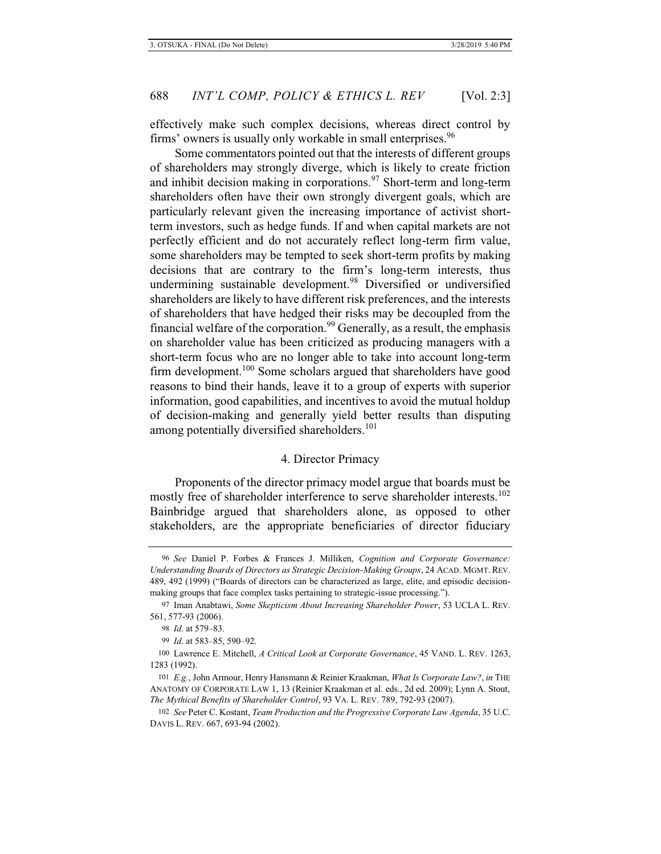effectively make such complex decisions, whereas direct control by firms' owners is usually only workable in small enterprises.<sup>96</sup>

Some commentators pointed out that the interests of different groups of shareholders may strongly diverge, which is likely to create friction and inhibit decision making in corporations.<sup>97</sup> Short-term and long-term shareholders often have their own strongly divergent goals, which are particularly relevant given the increasing importance of activist shortterm investors, such as hedge funds. If and when capital markets are not perfectly efficient and do not accurately reflect long-term firm value, some shareholders may be tempted to seek short-term profits by making decisions that are contrary to the firm's long-term interests, thus undermining sustainable development.<sup>98</sup> Diversified or undiversified shareholders are likely to have different risk preferences, and the interests of shareholders that have hedged their risks may be decoupled from the financial welfare of the corporation.<sup>99</sup> Generally, as a result, the emphasis on shareholder value has been criticized as producing managers with a short-term focus who are no longer able to take into account long-term firm development.<sup>100</sup> Some scholars argued that shareholders have good reasons to bind their hands, leave it to a group of experts with superior information, good capabilities, and incentives to avoid the mutual holdup of decision-making and generally yield better results than disputing among potentially diversified shareholders.<sup>101</sup>

### 4. Director Primacy

Proponents of the director primacy model argue that boards must be mostly free of shareholder interference to serve shareholder interests.<sup>102</sup> Bainbridge argued that shareholders alone, as opposed to other stakeholders, are the appropriate beneficiaries of director fiduciary

<sup>96</sup> *See* Daniel P. Forbes & Frances J. Milliken, *Cognition and Corporate Governance: Understanding Boards of Directors as Strategic Decision-Making Groups*, 24 ACAD. MGMT. REV. 489, 492 (1999) ("Boards of directors can be characterized as large, elite, and episodic decisionmaking groups that face complex tasks pertaining to strategic-issue processing.").

<sup>97</sup> Iman Anabtawi, *Some Skepticism About Increasing Shareholder Power*, 53 UCLA L. REV. 561, 577-93 (2006).

<sup>98</sup> *Id*. at 579–83.

<sup>99</sup> *Id*. at 583–85, 590–92.

<sup>100</sup> Lawrence E. Mitchell, *A Critical Look at Corporate Governance*, 45 VAND. L. REV. 1263, 1283 (1992).

<sup>101</sup> *E.g.*, John Armour, Henry Hansmann & Reinier Kraakman, *What Is Corporate Law?*, *in* THE ANATOMY OF CORPORATE LAW 1, 13 (Reinier Kraakman et al. eds., 2d ed. 2009); Lynn A. Stout, *The Mythical Benefits of Shareholder Control*, 93 VA. L. REV. 789, 792-93 (2007).

<sup>102</sup> *See* Peter C. Kostant, *Team Production and the Progressive Corporate Law Agenda*, 35 U.C. DAVIS L. REV. 667, 693-94 (2002).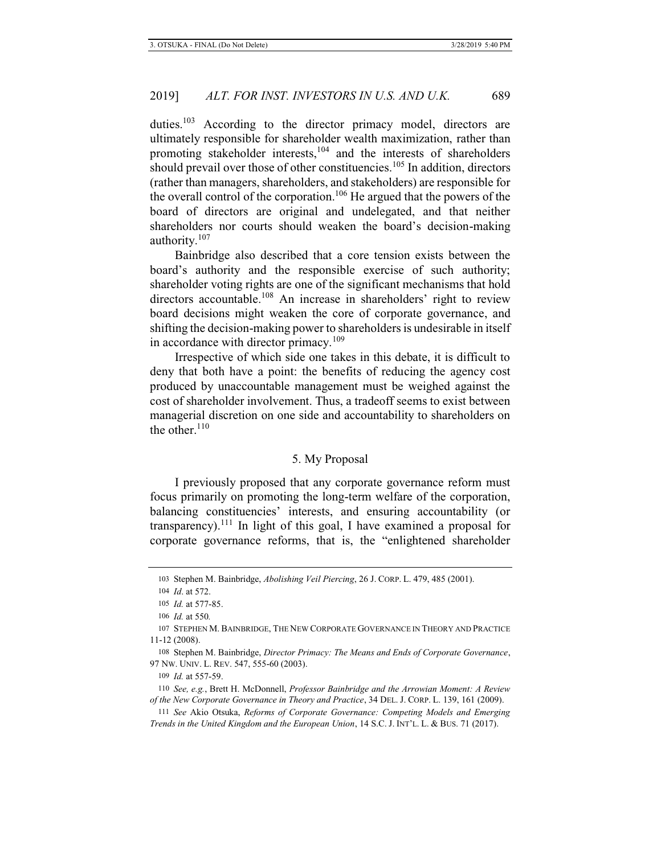duties.<sup>103</sup> According to the director primacy model, directors are ultimately responsible for shareholder wealth maximization, rather than promoting stakeholder interests, $104$  and the interests of shareholders should prevail over those of other constituencies.<sup>105</sup> In addition, directors (rather than managers, shareholders, and stakeholders) are responsible for the overall control of the corporation.106 He argued that the powers of the board of directors are original and undelegated, and that neither shareholders nor courts should weaken the board's decision-making authority.<sup>107</sup>

Bainbridge also described that a core tension exists between the board's authority and the responsible exercise of such authority; shareholder voting rights are one of the significant mechanisms that hold directors accountable.<sup>108</sup> An increase in shareholders' right to review board decisions might weaken the core of corporate governance, and shifting the decision-making power to shareholders is undesirable in itself in accordance with director primacy.<sup>109</sup>

Irrespective of which side one takes in this debate, it is difficult to deny that both have a point: the benefits of reducing the agency cost produced by unaccountable management must be weighed against the cost of shareholder involvement. Thus, a tradeoff seems to exist between managerial discretion on one side and accountability to shareholders on the other. $110$ 

### 5. My Proposal

I previously proposed that any corporate governance reform must focus primarily on promoting the long-term welfare of the corporation, balancing constituencies' interests, and ensuring accountability (or transparency).<sup>111</sup> In light of this goal, I have examined a proposal for corporate governance reforms, that is, the "enlightened shareholder

<sup>103</sup> Stephen M. Bainbridge, *Abolishing Veil Piercing*, 26 J. CORP. L. 479, 485 (2001).

<sup>104</sup> *Id*. at 572.

<sup>105</sup> *Id.* at 577-85.

<sup>106</sup> *Id.* at 550*.*

<sup>107</sup> STEPHEN M. BAINBRIDGE, THE NEW CORPORATE GOVERNANCE IN THEORY AND PRACTICE 11-12 (2008).

<sup>108</sup> Stephen M. Bainbridge, *Director Primacy: The Means and Ends of Corporate Governance*, 97 NW. UNIV. L. REV. 547, 555-60 (2003).

<sup>109</sup> *Id.* at 557-59.

<sup>110</sup> *See, e.g.*, Brett H. McDonnell, *Professor Bainbridge and the Arrowian Moment: A Review of the New Corporate Governance in Theory and Practice*, 34 DEL. J. CORP. L. 139, 161 (2009).

<sup>111</sup> *See* Akio Otsuka, *Reforms of Corporate Governance: Competing Models and Emerging Trends in the United Kingdom and the European Union*, 14 S.C. J. INT'L. L. & BUS. 71 (2017).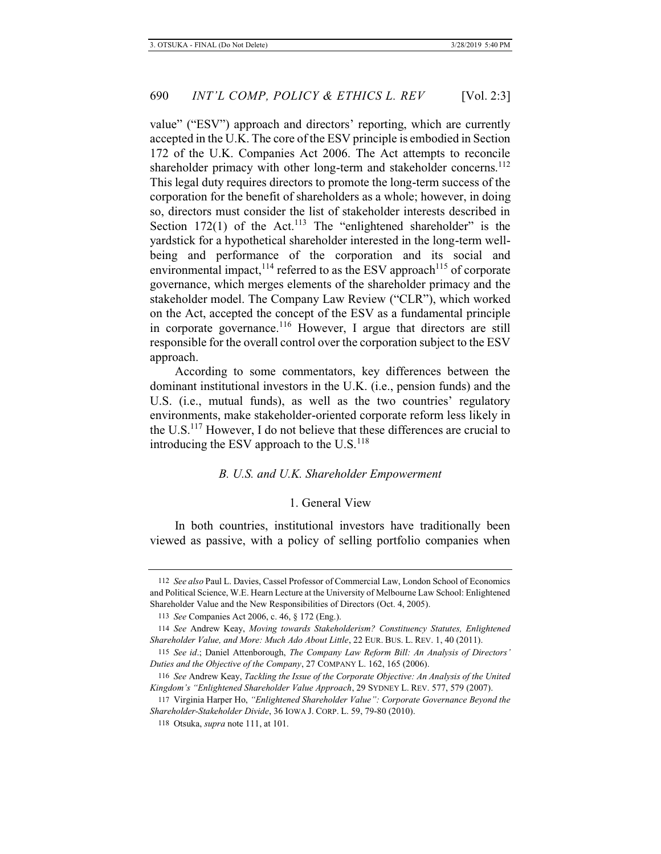value" ("ESV") approach and directors' reporting, which are currently accepted in the U.K. The core of the ESV principle is embodied in Section 172 of the U.K. Companies Act 2006. The Act attempts to reconcile shareholder primacy with other long-term and stakeholder concerns.<sup>112</sup> This legal duty requires directors to promote the long-term success of the corporation for the benefit of shareholders as a whole; however, in doing so, directors must consider the list of stakeholder interests described in Section 172(1) of the Act.<sup>113</sup> The "enlightened shareholder" is the yardstick for a hypothetical shareholder interested in the long-term wellbeing and performance of the corporation and its social and environmental impact,<sup>114</sup> referred to as the ESV approach<sup>115</sup> of corporate governance, which merges elements of the shareholder primacy and the stakeholder model. The Company Law Review ("CLR"), which worked on the Act, accepted the concept of the ESV as a fundamental principle in corporate governance.<sup>116</sup> However, I argue that directors are still responsible for the overall control over the corporation subject to the ESV approach.

According to some commentators, key differences between the dominant institutional investors in the U.K. (i.e., pension funds) and the U.S. (i.e., mutual funds), as well as the two countries' regulatory environments, make stakeholder-oriented corporate reform less likely in the U.S.117 However, I do not believe that these differences are crucial to introducing the ESV approach to the  $U.S.<sup>118</sup>$ 

## *B. U.S. and U.K. Shareholder Empowerment*

# 1. General View

In both countries, institutional investors have traditionally been viewed as passive, with a policy of selling portfolio companies when

<sup>112</sup> *See also* Paul L. Davies, Cassel Professor of Commercial Law, London School of Economics and Political Science, W.E. Hearn Lecture at the University of Melbourne Law School: Enlightened Shareholder Value and the New Responsibilities of Directors (Oct. 4, 2005).

<sup>113</sup> *See* Companies Act 2006, c. 46, § 172 (Eng.).

<sup>114</sup> *See* Andrew Keay, *Moving towards Stakeholderism? Constituency Statutes, Enlightened Shareholder Value, and More: Much Ado About Little*, 22 EUR. BUS. L. REV. 1, 40 (2011).

<sup>115</sup> *See id*.; Daniel Attenborough, *The Company Law Reform Bill: An Analysis of Directors' Duties and the Objective of the Company*, 27 COMPANY L. 162, 165 (2006).

<sup>116</sup> *See* Andrew Keay, *Tackling the Issue of the Corporate Objective: An Analysis of the United Kingdom's "Enlightened Shareholder Value Approach*, 29 SYDNEY L. REV. 577, 579 (2007).

<sup>117</sup> Virginia Harper Ho, *"Enlightened Shareholder Value": Corporate Governance Beyond the Shareholder-Stakeholder Divide*, 36 IOWA J. CORP. L. 59, 79-80 (2010).

<sup>118</sup> Otsuka, *supra* note 111, at 101.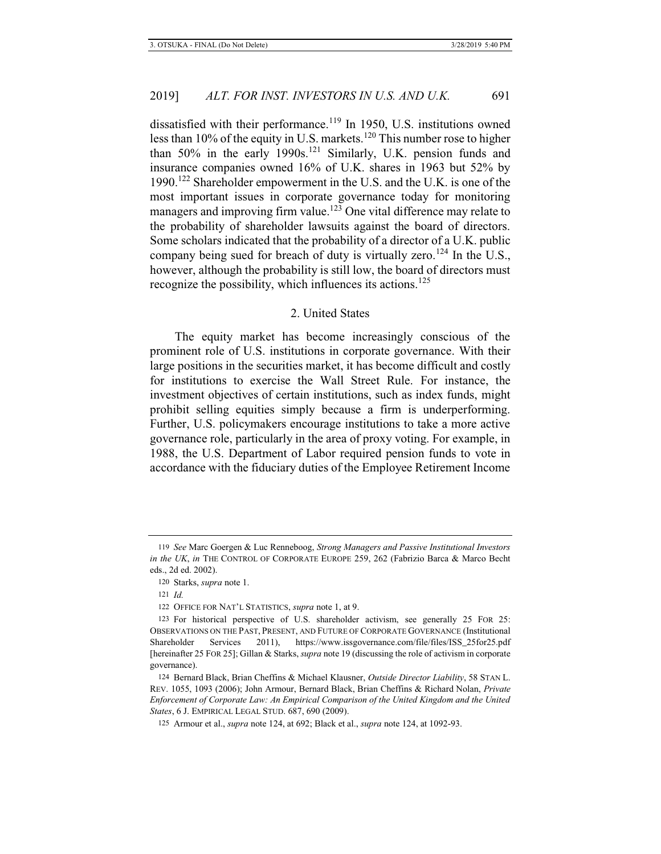dissatisfied with their performance.<sup>119</sup> In 1950, U.S. institutions owned less than 10% of the equity in U.S. markets.<sup>120</sup> This number rose to higher than  $50\%$  in the early 1990s.<sup>121</sup> Similarly, U.K. pension funds and insurance companies owned 16% of U.K. shares in 1963 but 52% by 1990.<sup>122</sup> Shareholder empowerment in the U.S. and the U.K. is one of the most important issues in corporate governance today for monitoring managers and improving firm value.<sup>123</sup> One vital difference may relate to the probability of shareholder lawsuits against the board of directors. Some scholars indicated that the probability of a director of a U.K. public company being sued for breach of duty is virtually zero.<sup>124</sup> In the U.S., however, although the probability is still low, the board of directors must recognize the possibility, which influences its actions.<sup>125</sup>

## 2. United States

The equity market has become increasingly conscious of the prominent role of U.S. institutions in corporate governance. With their large positions in the securities market, it has become difficult and costly for institutions to exercise the Wall Street Rule. For instance, the investment objectives of certain institutions, such as index funds, might prohibit selling equities simply because a firm is underperforming. Further, U.S. policymakers encourage institutions to take a more active governance role, particularly in the area of proxy voting. For example, in 1988, the U.S. Department of Labor required pension funds to vote in accordance with the fiduciary duties of the Employee Retirement Income

<sup>119</sup> *See* Marc Goergen & Luc Renneboog, *Strong Managers and Passive Institutional Investors in the UK*, *in* THE CONTROL OF CORPORATE EUROPE 259, 262 (Fabrizio Barca & Marco Becht eds., 2d ed. 2002).

<sup>120</sup> Starks, *supra* note 1.

<sup>121</sup> *Id.*

<sup>122</sup> OFFICE FOR NAT'L STATISTICS, *supra* note 1, at 9.

<sup>123</sup> For historical perspective of U.S. shareholder activism, see generally 25 FOR 25: OBSERVATIONS ON THE PAST, PRESENT, AND FUTURE OF CORPORATE GOVERNANCE (Institutional Shareholder Services 2011), https://www.issgovernance.com/file/files/ISS\_25for25.pdf [hereinafter 25 FOR 25]; Gillan & Starks, *supra* note 19 (discussing the role of activism in corporate governance).

<sup>124</sup> Bernard Black, Brian Cheffins & Michael Klausner, *Outside Director Liability*, 58 STAN L. REV. 1055, 1093 (2006); John Armour, Bernard Black, Brian Cheffins & Richard Nolan, *Private Enforcement of Corporate Law: An Empirical Comparison of the United Kingdom and the United States*, 6 J. EMPIRICAL LEGAL STUD. 687, 690 (2009).

<sup>125</sup> Armour et al., *supra* note 124, at 692; Black et al., *supra* note 124, at 1092-93.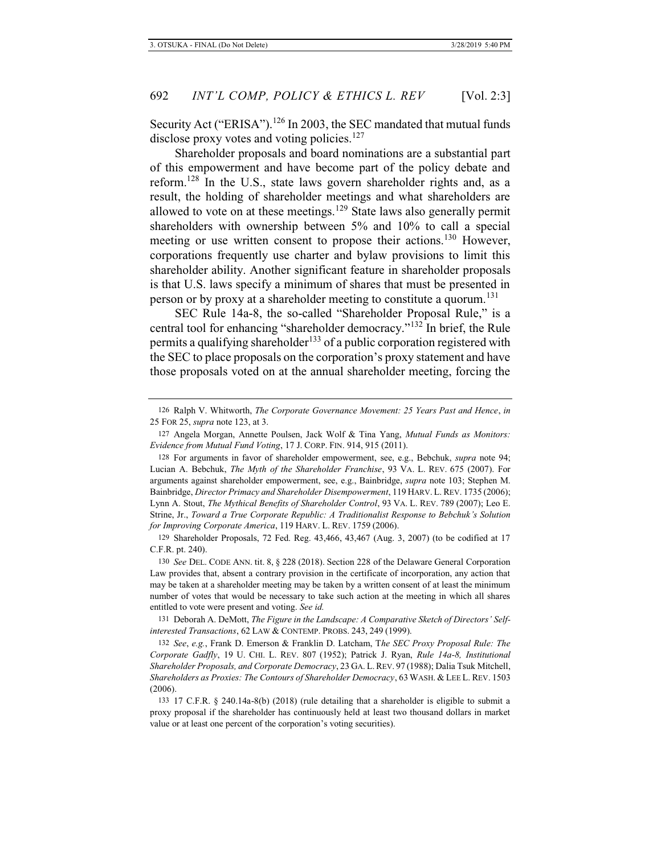Security Act ("ERISA").<sup>126</sup> In 2003, the SEC mandated that mutual funds disclose proxy votes and voting policies.<sup>127</sup>

Shareholder proposals and board nominations are a substantial part of this empowerment and have become part of the policy debate and reform.128 In the U.S., state laws govern shareholder rights and, as a result, the holding of shareholder meetings and what shareholders are allowed to vote on at these meetings.<sup>129</sup> State laws also generally permit shareholders with ownership between 5% and 10% to call a special meeting or use written consent to propose their actions.<sup>130</sup> However, corporations frequently use charter and bylaw provisions to limit this shareholder ability. Another significant feature in shareholder proposals is that U.S. laws specify a minimum of shares that must be presented in person or by proxy at a shareholder meeting to constitute a quorum.<sup>131</sup>

SEC Rule 14a-8, the so-called "Shareholder Proposal Rule," is a central tool for enhancing "shareholder democracy."<sup>132</sup> In brief, the Rule permits a qualifying shareholder<sup>133</sup> of a public corporation registered with the SEC to place proposals on the corporation's proxy statement and have those proposals voted on at the annual shareholder meeting, forcing the

128 For arguments in favor of shareholder empowerment, see, e.g., Bebchuk, *supra* note 94; Lucian A. Bebchuk, *The Myth of the Shareholder Franchise*, 93 VA. L. REV. 675 (2007). For arguments against shareholder empowerment, see, e.g., Bainbridge, *supra* note 103; Stephen M. Bainbridge, *Director Primacy and Shareholder Disempowerment*, 119 HARV. L. REV. 1735 (2006); Lynn A. Stout, *The Mythical Benefits of Shareholder Control*, 93 VA. L. REV. 789 (2007); Leo E. Strine, Jr., *Toward a True Corporate Republic: A Traditionalist Response to Bebchuk's Solution for Improving Corporate America*, 119 HARV. L. REV. 1759 (2006).

129 Shareholder Proposals, 72 Fed. Reg. 43,466, 43,467 (Aug. 3, 2007) (to be codified at 17 C.F.R. pt. 240).

130 *See* DEL. CODE ANN. tit. 8, § 228 (2018). Section 228 of the Delaware General Corporation Law provides that, absent a contrary provision in the certificate of incorporation, any action that may be taken at a shareholder meeting may be taken by a written consent of at least the minimum number of votes that would be necessary to take such action at the meeting in which all shares entitled to vote were present and voting. *See id.*

131 Deborah A. DeMott, *The Figure in the Landscape: A Comparative Sketch of Directors' Selfinterested Transactions*, 62 LAW & CONTEMP. PROBS. 243, 249 (1999).

132 *See*, *e.g.*, Frank D. Emerson & Franklin D. Latcham, T*he SEC Proxy Proposal Rule: The Corporate Gadfly*, 19 U. CHI. L. REV. 807 (1952); Patrick J. Ryan, *Rule 14a-8, Institutional Shareholder Proposals, and Corporate Democracy*, 23 GA. L.REV. 97 (1988); Dalia Tsuk Mitchell, *Shareholders as Proxies: The Contours of Shareholder Democracy*, 63 WASH. & LEE L. REV. 1503 (2006).

133 17 C.F.R. § 240.14a-8(b) (2018) (rule detailing that a shareholder is eligible to submit a proxy proposal if the shareholder has continuously held at least two thousand dollars in market value or at least one percent of the corporation's voting securities).

<sup>126</sup> Ralph V. Whitworth, *The Corporate Governance Movement: 25 Years Past and Hence*, *in* 25 FOR 25, *supra* note 123, at 3.

<sup>127</sup> Angela Morgan, Annette Poulsen, Jack Wolf & Tina Yang, *Mutual Funds as Monitors: Evidence from Mutual Fund Voting*, 17 J. CORP. FIN. 914, 915 (2011).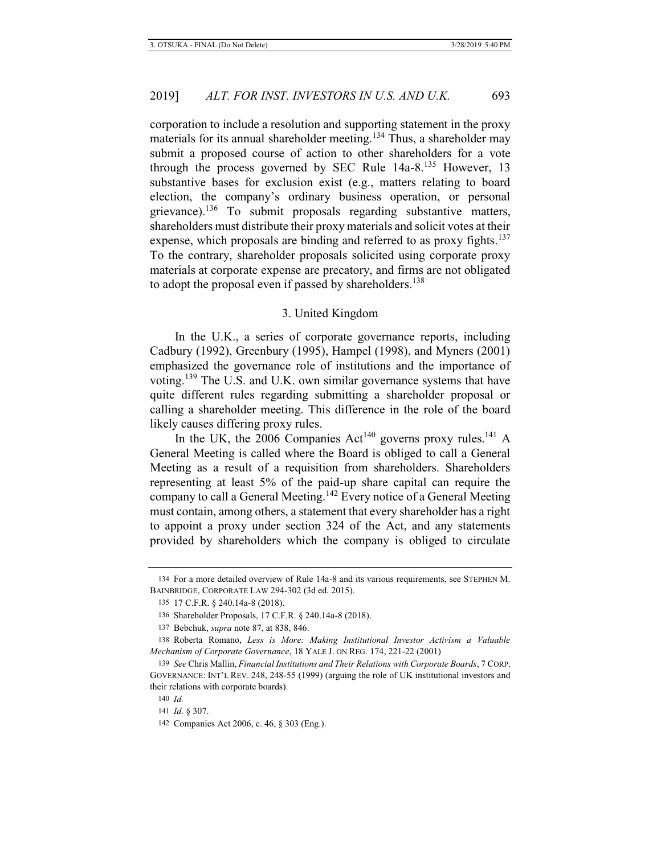corporation to include a resolution and supporting statement in the proxy materials for its annual shareholder meeting.<sup>134</sup> Thus, a shareholder may submit a proposed course of action to other shareholders for a vote through the process governed by SEC Rule  $14a-8$ ,  $135$  However, 13 substantive bases for exclusion exist (e.g., matters relating to board election, the company's ordinary business operation, or personal grievance).<sup>136</sup> To submit proposals regarding substantive matters, shareholders must distribute their proxy materials and solicit votes at their expense, which proposals are binding and referred to as proxy fights.<sup>137</sup> To the contrary, shareholder proposals solicited using corporate proxy materials at corporate expense are precatory, and firms are not obligated to adopt the proposal even if passed by shareholders.<sup>138</sup>

## 3. United Kingdom

In the U.K., a series of corporate governance reports, including Cadbury (1992), Greenbury (1995), Hampel (1998), and Myners (2001) emphasized the governance role of institutions and the importance of voting.<sup>139</sup> The U.S. and U.K. own similar governance systems that have quite different rules regarding submitting a shareholder proposal or calling a shareholder meeting. This difference in the role of the board likely causes differing proxy rules.

In the UK, the  $2006$  Companies Act<sup>140</sup> governs proxy rules.<sup>141</sup> A General Meeting is called where the Board is obliged to call a General Meeting as a result of a requisition from shareholders. Shareholders representing at least 5% of the paid-up share capital can require the company to call a General Meeting.142 Every notice of a General Meeting must contain, among others, a statement that every shareholder has a right to appoint a proxy under section 324 of the Act, and any statements provided by shareholders which the company is obliged to circulate

<sup>134</sup> For a more detailed overview of Rule 14a-8 and its various requirements, see STEPHEN M. BAINBRIDGE, CORPORATE LAW 294-302 (3d ed. 2015).

<sup>135 17</sup> C.F.R. § 240.14a-8 (2018).

<sup>136</sup> Shareholder Proposals, 17 C.F.R. § 240.14a-8 (2018).

<sup>137</sup> Bebchuk, *supra* note 87, at 838, 846.

<sup>138</sup> Roberta Romano, *Less is More: Making Institutional Investor Activism a Valuable Mechanism of Corporate Governance*, 18 YALE J. ON REG. 174, 221-22 (2001)

<sup>139</sup> *See* Chris Mallin, *Financial Institutions and Their Relations with Corporate Boards*, 7 CORP. GOVERNANCE: INT'L REV. 248, 248-55 (1999) (arguing the role of UK institutional investors and their relations with corporate boards).

<sup>140</sup> *Id.*

<sup>141</sup> *Id.* § 307.

<sup>142</sup> Companies Act 2006, c. 46, § 303 (Eng.).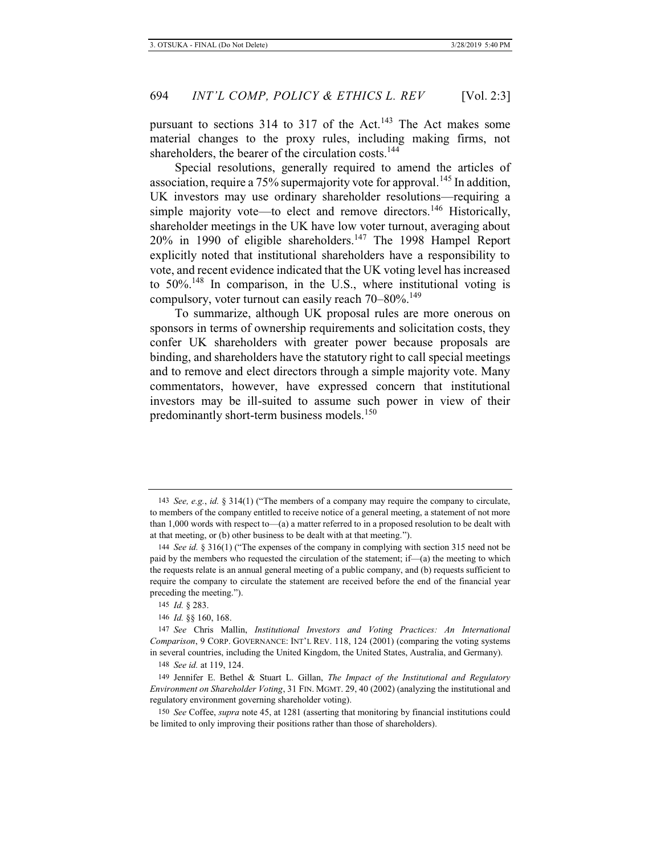pursuant to sections  $314$  to  $317$  of the Act.<sup>143</sup> The Act makes some material changes to the proxy rules, including making firms, not shareholders, the bearer of the circulation costs.<sup>144</sup>

Special resolutions, generally required to amend the articles of association, require a  $75\%$  supermajority vote for approval.<sup>145</sup> In addition, UK investors may use ordinary shareholder resolutions—requiring a simple majority vote—to elect and remove directors.<sup>146</sup> Historically, shareholder meetings in the UK have low voter turnout, averaging about 20% in 1990 of eligible shareholders.147 The 1998 Hampel Report explicitly noted that institutional shareholders have a responsibility to vote, and recent evidence indicated that the UK voting level has increased to  $50\%$ <sup>148</sup> In comparison, in the U.S., where institutional voting is compulsory, voter turnout can easily reach 70–80%.<sup>149</sup>

To summarize, although UK proposal rules are more onerous on sponsors in terms of ownership requirements and solicitation costs, they confer UK shareholders with greater power because proposals are binding, and shareholders have the statutory right to call special meetings and to remove and elect directors through a simple majority vote. Many commentators, however, have expressed concern that institutional investors may be ill-suited to assume such power in view of their predominantly short-term business models.<sup>150</sup>

<sup>143</sup> *See, e.g.*, *id.* § 314(1) ("The members of a company may require the company to circulate, to members of the company entitled to receive notice of a general meeting, a statement of not more than 1,000 words with respect to—(a) a matter referred to in a proposed resolution to be dealt with at that meeting, or (b) other business to be dealt with at that meeting.").

<sup>144</sup> *See id.* § 316(1) ("The expenses of the company in complying with section 315 need not be paid by the members who requested the circulation of the statement; if— $(a)$  the meeting to which the requests relate is an annual general meeting of a public company, and (b) requests sufficient to require the company to circulate the statement are received before the end of the financial year preceding the meeting.").

<sup>145</sup> *Id.* § 283.

<sup>146</sup> *Id.* §§ 160, 168.

<sup>147</sup> *See* Chris Mallin, *Institutional Investors and Voting Practices: An International Comparison*, 9 CORP. GOVERNANCE: INT'L REV. 118, 124 (2001) (comparing the voting systems in several countries, including the United Kingdom, the United States, Australia, and Germany).

<sup>148</sup> *See id.* at 119, 124.

<sup>149</sup> Jennifer E. Bethel & Stuart L. Gillan, *The Impact of the Institutional and Regulatory Environment on Shareholder Voting*, 31 FIN. MGMT. 29, 40 (2002) (analyzing the institutional and regulatory environment governing shareholder voting).

<sup>150</sup> *See* Coffee, *supra* note 45, at 1281 (asserting that monitoring by financial institutions could be limited to only improving their positions rather than those of shareholders).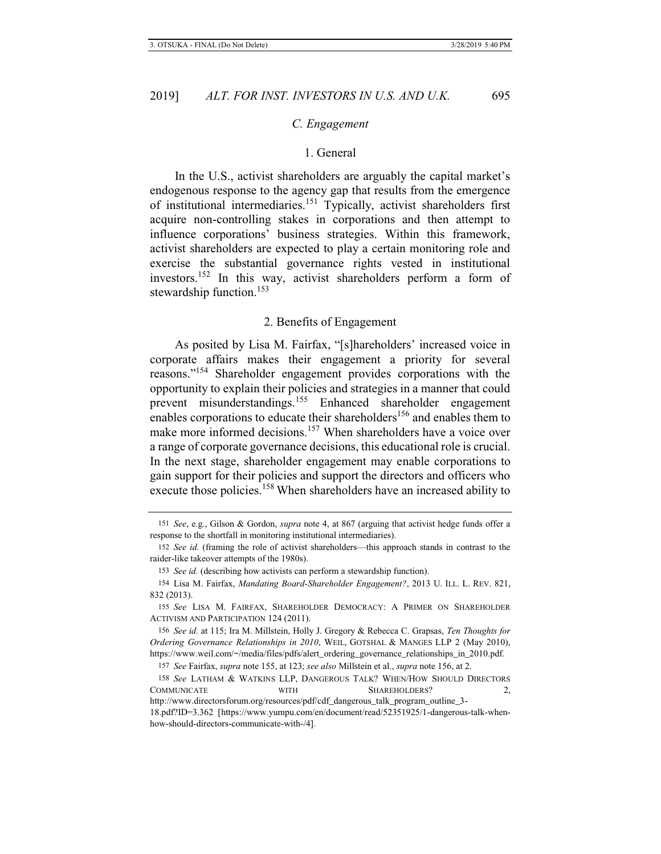#### *C. Engagement*

#### 1. General

In the U.S., activist shareholders are arguably the capital market's endogenous response to the agency gap that results from the emergence of institutional intermediaries.151 Typically, activist shareholders first acquire non-controlling stakes in corporations and then attempt to influence corporations' business strategies. Within this framework, activist shareholders are expected to play a certain monitoring role and exercise the substantial governance rights vested in institutional investors.152 In this way, activist shareholders perform a form of stewardship function.<sup>153</sup>

## 2. Benefits of Engagement

As posited by Lisa M. Fairfax, "[s]hareholders' increased voice in corporate affairs makes their engagement a priority for several reasons."154 Shareholder engagement provides corporations with the opportunity to explain their policies and strategies in a manner that could prevent misunderstandings.155 Enhanced shareholder engagement enables corporations to educate their shareholders<sup>156</sup> and enables them to make more informed decisions.<sup>157</sup> When shareholders have a voice over a range of corporate governance decisions, this educational role is crucial. In the next stage, shareholder engagement may enable corporations to gain support for their policies and support the directors and officers who execute those policies.<sup>158</sup> When shareholders have an increased ability to

156 *See id.* at 115; Ira M. Millstein, Holly J. Gregory & Rebecca C. Grapsas, *Ten Thoughts for Ordering Governance Relationships in 2010*, WEIL, GOTSHAL & MANGES LLP 2 (May 2010), https://www.weil.com/~/media/files/pdfs/alert\_ordering\_governance\_relationships\_in\_2010.pdf.

<sup>151</sup> *See*, e.g., Gilson & Gordon, *supra* note 4, at 867 (arguing that activist hedge funds offer a response to the shortfall in monitoring institutional intermediaries).

<sup>152</sup> *See id.* (framing the role of activist shareholders—this approach stands in contrast to the raider-like takeover attempts of the 1980s).

<sup>153</sup> *See id.* (describing how activists can perform a stewardship function).

<sup>154</sup> Lisa M. Fairfax, *Mandating Board-Shareholder Engagement?*, 2013 U. ILL. L. REV. 821, 832 (2013).

<sup>155</sup> *See* LISA M. FAIRFAX, SHAREHOLDER DEMOCRACY: A PRIMER ON SHAREHOLDER ACTIVISM AND PARTICIPATION 124 (2011).

<sup>157</sup> *See* Fairfax, *supra* note 155, at 123; *see also* Millstein et al., *supra* note 156, at 2.

<sup>158</sup> *See* LATHAM & WATKINS LLP, DANGEROUS TALK? WHEN/HOW SHOULD DIRECTORS COMMUNICATE WITH SHAREHOLDERS? 2,

http://www.directorsforum.org/resources/pdf/cdf\_dangerous\_talk\_program\_outline\_3-

<sup>18.</sup>pdf?ID=3.362 [https://www.yumpu.com/en/document/read/52351925/1-dangerous-talk-whenhow-should-directors-communicate-with-/4].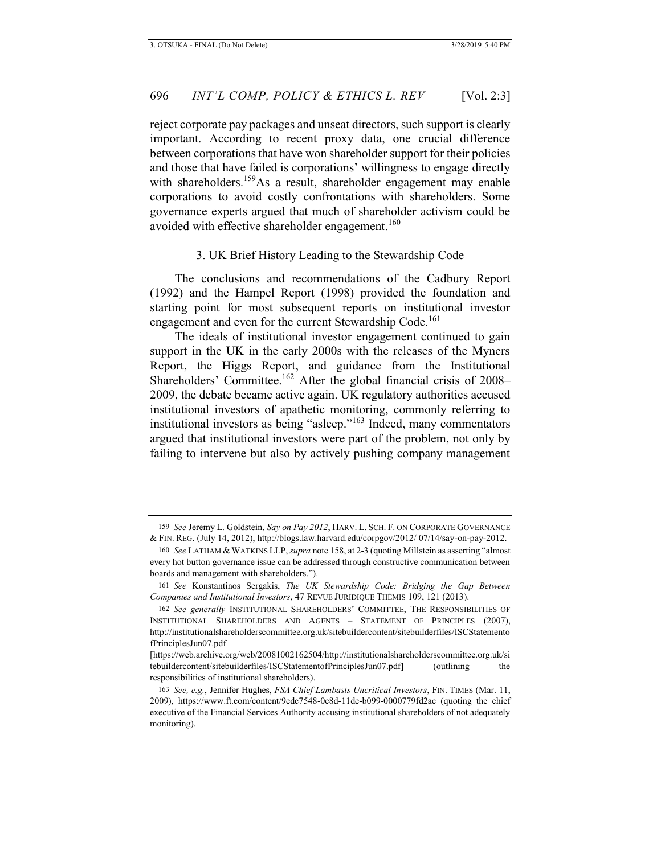reject corporate pay packages and unseat directors, such support is clearly important. According to recent proxy data, one crucial difference between corporations that have won shareholder support for their policies and those that have failed is corporations' willingness to engage directly with shareholders.<sup>159</sup>As a result, shareholder engagement may enable corporations to avoid costly confrontations with shareholders. Some governance experts argued that much of shareholder activism could be avoided with effective shareholder engagement.<sup>160</sup>

# 3. UK Brief History Leading to the Stewardship Code

The conclusions and recommendations of the Cadbury Report (1992) and the Hampel Report (1998) provided the foundation and starting point for most subsequent reports on institutional investor engagement and even for the current Stewardship Code.<sup>161</sup>

The ideals of institutional investor engagement continued to gain support in the UK in the early 2000s with the releases of the Myners Report, the Higgs Report, and guidance from the Institutional Shareholders' Committee.<sup>162</sup> After the global financial crisis of 2008– 2009, the debate became active again. UK regulatory authorities accused institutional investors of apathetic monitoring, commonly referring to institutional investors as being "asleep."163 Indeed, many commentators argued that institutional investors were part of the problem, not only by failing to intervene but also by actively pushing company management

<sup>159</sup> *See* Jeremy L. Goldstein, *Say on Pay 2012*, HARV. L. SCH. F. ON CORPORATE GOVERNANCE & FIN. REG. (July 14, 2012), http://blogs.law.harvard.edu/corpgov/2012/ 07/14/say-on-pay-2012.

<sup>160</sup> *See* LATHAM & WATKINS LLP, *supra* note 158, at 2-3 (quoting Millstein as asserting "almost every hot button governance issue can be addressed through constructive communication between boards and management with shareholders.").

<sup>161</sup> *See* Konstantinos Sergakis, *The UK Stewardship Code: Bridging the Gap Between Companies and Institutional Investors*, 47 REVUE JURIDIQUE THÉMIS 109, 121 (2013).

<sup>162</sup> *See generally* INSTITUTIONAL SHAREHOLDERS' COMMITTEE, THE RESPONSIBILITIES OF INSTITUTIONAL SHAREHOLDERS AND AGENTS – STATEMENT OF PRINCIPLES (2007), http://institutionalshareholderscommittee.org.uk/sitebuildercontent/sitebuilderfiles/ISCStatemento fPrinciplesJun07.pdf

<sup>[</sup>https://web.archive.org/web/20081002162504/http://institutionalshareholderscommittee.org.uk/si tebuildercontent/sitebuilderfiles/ISCStatementofPrinciplesJun07.pdf] (outlining the responsibilities of institutional shareholders).

<sup>163</sup> *See, e.g.*, Jennifer Hughes, *FSA Chief Lambasts Uncritical Investors*, FIN. TIMES (Mar. 11, 2009), https://www.ft.com/content/9edc7548-0e8d-11de-b099-0000779fd2ac (quoting the chief executive of the Financial Services Authority accusing institutional shareholders of not adequately monitoring).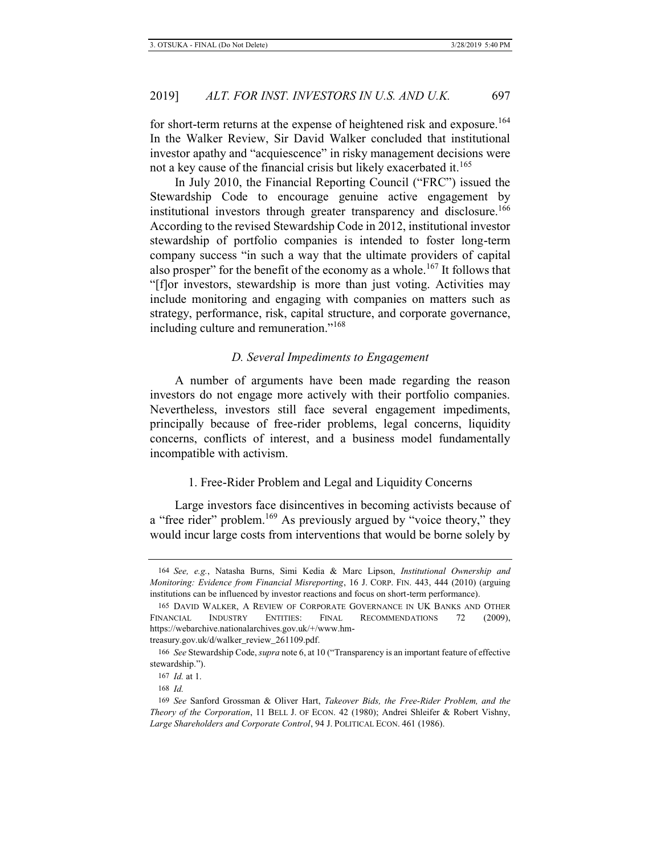for short-term returns at the expense of heightened risk and exposure.<sup>164</sup> In the Walker Review, Sir David Walker concluded that institutional investor apathy and "acquiescence" in risky management decisions were not a key cause of the financial crisis but likely exacerbated it.<sup>165</sup>

In July 2010, the Financial Reporting Council ("FRC") issued the Stewardship Code to encourage genuine active engagement by institutional investors through greater transparency and disclosure.<sup>166</sup> According to the revised Stewardship Code in 2012, institutional investor stewardship of portfolio companies is intended to foster long-term company success "in such a way that the ultimate providers of capital also prosper" for the benefit of the economy as a whole.<sup>167</sup> It follows that "[f]or investors, stewardship is more than just voting. Activities may include monitoring and engaging with companies on matters such as strategy, performance, risk, capital structure, and corporate governance, including culture and remuneration."<sup>168</sup>

# *D. Several Impediments to Engagement*

A number of arguments have been made regarding the reason investors do not engage more actively with their portfolio companies. Nevertheless, investors still face several engagement impediments, principally because of free-rider problems, legal concerns, liquidity concerns, conflicts of interest, and a business model fundamentally incompatible with activism.

## 1. Free-Rider Problem and Legal and Liquidity Concerns

Large investors face disincentives in becoming activists because of a "free rider" problem.<sup>169</sup> As previously argued by "voice theory," they would incur large costs from interventions that would be borne solely by

treasury.gov.uk/d/walker\_review\_261109.pdf.

<sup>164</sup> *See, e.g.*, Natasha Burns, Simi Kedia & Marc Lipson, *Institutional Ownership and Monitoring: Evidence from Financial Misreporting*, 16 J. CORP. FIN. 443, 444 (2010) (arguing institutions can be influenced by investor reactions and focus on short-term performance).

<sup>165</sup> DAVID WALKER, A REVIEW OF CORPORATE GOVERNANCE IN UK BANKS AND OTHER FINANCIAL INDUSTRY ENTITIES: FINAL RECOMMENDATIONS 72 (2009), https://webarchive.nationalarchives.gov.uk/+/www.hm-

<sup>166</sup> *See* Stewardship Code, *supra* note 6, at 10 ("Transparency is an important feature of effective stewardship.").

<sup>167</sup> *Id.* at 1.

<sup>168</sup> *Id.*

<sup>169</sup> *See* Sanford Grossman & Oliver Hart, *Takeover Bids, the Free-Rider Problem, and the Theory of the Corporation*, 11 BELL J. OF ECON. 42 (1980); Andrei Shleifer & Robert Vishny, *Large Shareholders and Corporate Control*, 94 J. POLITICAL ECON. 461 (1986).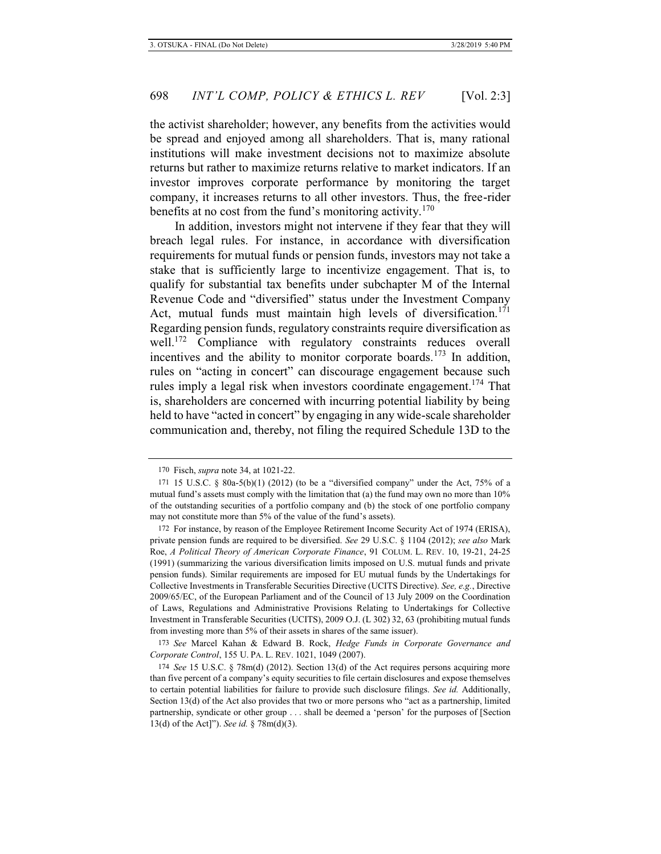the activist shareholder; however, any benefits from the activities would be spread and enjoyed among all shareholders. That is, many rational institutions will make investment decisions not to maximize absolute returns but rather to maximize returns relative to market indicators. If an investor improves corporate performance by monitoring the target company, it increases returns to all other investors. Thus, the free-rider benefits at no cost from the fund's monitoring activity.<sup>170</sup>

In addition, investors might not intervene if they fear that they will breach legal rules. For instance, in accordance with diversification requirements for mutual funds or pension funds, investors may not take a stake that is sufficiently large to incentivize engagement. That is, to qualify for substantial tax benefits under subchapter M of the Internal Revenue Code and "diversified" status under the Investment Company Act, mutual funds must maintain high levels of diversification.<sup>171</sup> Regarding pension funds, regulatory constraints require diversification as well.<sup>172</sup> Compliance with regulatory constraints reduces overall incentives and the ability to monitor corporate boards.<sup>173</sup> In addition, rules on "acting in concert" can discourage engagement because such rules imply a legal risk when investors coordinate engagement.<sup>174</sup> That is, shareholders are concerned with incurring potential liability by being held to have "acted in concert" by engaging in any wide-scale shareholder communication and, thereby, not filing the required Schedule 13D to the

<sup>170</sup> Fisch, *supra* note 34, at 1021-22.

<sup>171 15</sup> U.S.C. § 80a-5(b)(1) (2012) (to be a "diversified company" under the Act, 75% of a mutual fund's assets must comply with the limitation that (a) the fund may own no more than 10% of the outstanding securities of a portfolio company and (b) the stock of one portfolio company may not constitute more than 5% of the value of the fund's assets).

<sup>172</sup> For instance, by reason of the Employee Retirement Income Security Act of 1974 (ERISA), private pension funds are required to be diversified. *See* 29 U.S.C. § 1104 (2012); *see also* Mark Roe, *A Political Theory of American Corporate Finance*, 91 COLUM. L. REV. 10, 19-21, 24-25 (1991) (summarizing the various diversification limits imposed on U.S. mutual funds and private pension funds). Similar requirements are imposed for EU mutual funds by the Undertakings for Collective Investments in Transferable Securities Directive (UCITS Directive). *See, e.g.*, Directive 2009/65/EC, of the European Parliament and of the Council of 13 July 2009 on the Coordination of Laws, Regulations and Administrative Provisions Relating to Undertakings for Collective Investment in Transferable Securities (UCITS), 2009 O.J. (L 302) 32, 63 (prohibiting mutual funds from investing more than 5% of their assets in shares of the same issuer).

<sup>173</sup> *See* Marcel Kahan & Edward B. Rock, *Hedge Funds in Corporate Governance and Corporate Control*, 155 U. PA. L. REV. 1021, 1049 (2007).

<sup>174</sup> *See* 15 U.S.C. § 78m(d) (2012). Section 13(d) of the Act requires persons acquiring more than five percent of a company's equity securities to file certain disclosures and expose themselves to certain potential liabilities for failure to provide such disclosure filings. *See id.* Additionally, Section 13(d) of the Act also provides that two or more persons who "act as a partnership, limited partnership, syndicate or other group . . . shall be deemed a 'person' for the purposes of [Section 13(d) of the Act]"). *See id.* § 78m(d)(3).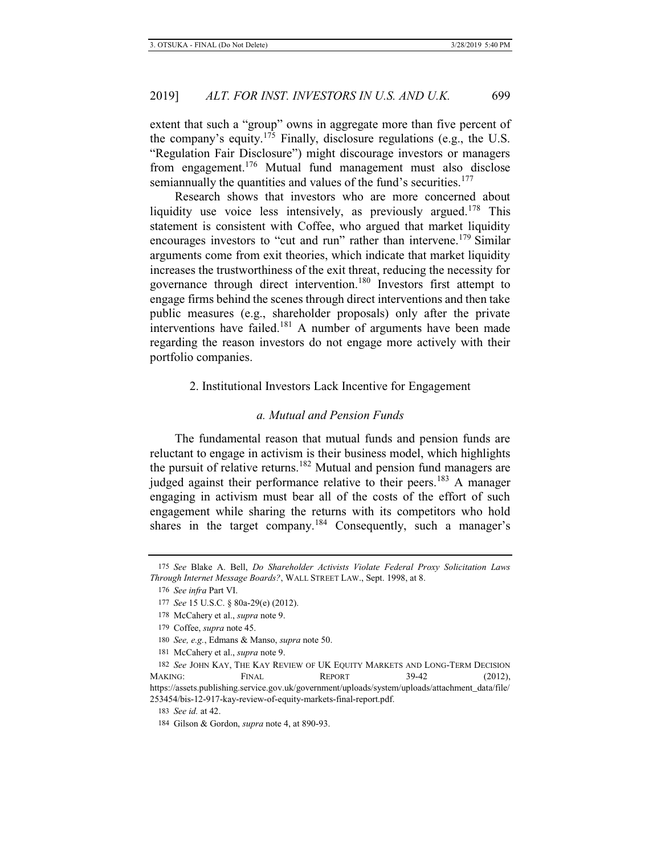extent that such a "group" owns in aggregate more than five percent of the company's equity.<sup>175</sup> Finally, disclosure regulations (e.g., the U.S. "Regulation Fair Disclosure") might discourage investors or managers from engagement.176 Mutual fund management must also disclose semiannually the quantities and values of the fund's securities.<sup>177</sup>

Research shows that investors who are more concerned about liquidity use voice less intensively, as previously argued.<sup>178</sup> This statement is consistent with Coffee, who argued that market liquidity encourages investors to "cut and run" rather than intervene.<sup>179</sup> Similar arguments come from exit theories, which indicate that market liquidity increases the trustworthiness of the exit threat, reducing the necessity for governance through direct intervention.180 Investors first attempt to engage firms behind the scenes through direct interventions and then take public measures (e.g., shareholder proposals) only after the private interventions have failed.181 A number of arguments have been made regarding the reason investors do not engage more actively with their portfolio companies.

# 2. Institutional Investors Lack Incentive for Engagement

# *a. Mutual and Pension Funds*

The fundamental reason that mutual funds and pension funds are reluctant to engage in activism is their business model, which highlights the pursuit of relative returns.<sup>182</sup> Mutual and pension fund managers are judged against their performance relative to their peers.<sup>183</sup> A manager engaging in activism must bear all of the costs of the effort of such engagement while sharing the returns with its competitors who hold shares in the target company.<sup>184</sup> Consequently, such a manager's

<sup>175</sup> *See* Blake A. Bell, *Do Shareholder Activists Violate Federal Proxy Solicitation Laws Through Internet Message Boards?*, WALL STREET LAW., Sept. 1998, at 8.

<sup>176</sup> *See infra* Part VI.

<sup>177</sup> *See* 15 U.S.C. § 80a-29(e) (2012).

<sup>178</sup> McCahery et al., *supra* note 9.

<sup>179</sup> Coffee, *supra* note 45.

<sup>180</sup> *See, e.g.*, Edmans & Manso, *supra* note 50.

<sup>181</sup> McCahery et al., *supra* note 9.

<sup>182</sup> *See* JOHN KAY, THE KAY REVIEW OF UK EQUITY MARKETS AND LONG-TERM DECISION MAKING: FINAL REPORT 39-42 (2012), https://assets.publishing.service.gov.uk/government/uploads/system/uploads/attachment\_data/file/ 253454/bis-12-917-kay-review-of-equity-markets-final-report.pdf.

<sup>183</sup> *See id.* at 42.

<sup>184</sup> Gilson & Gordon, *supra* note 4, at 890-93.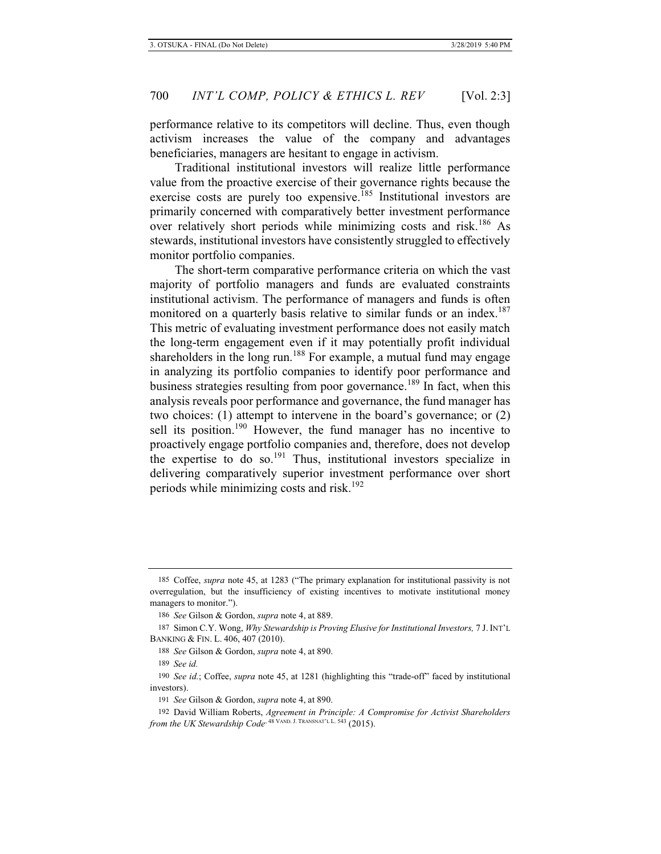performance relative to its competitors will decline. Thus, even though activism increases the value of the company and advantages beneficiaries, managers are hesitant to engage in activism.

Traditional institutional investors will realize little performance value from the proactive exercise of their governance rights because the exercise costs are purely too expensive.<sup>185</sup> Institutional investors are primarily concerned with comparatively better investment performance over relatively short periods while minimizing costs and risk.186 As stewards, institutional investors have consistently struggled to effectively monitor portfolio companies.

The short-term comparative performance criteria on which the vast majority of portfolio managers and funds are evaluated constraints institutional activism. The performance of managers and funds is often monitored on a quarterly basis relative to similar funds or an index.<sup>187</sup> This metric of evaluating investment performance does not easily match the long-term engagement even if it may potentially profit individual shareholders in the long run.<sup>188</sup> For example, a mutual fund may engage in analyzing its portfolio companies to identify poor performance and business strategies resulting from poor governance.<sup>189</sup> In fact, when this analysis reveals poor performance and governance, the fund manager has two choices: (1) attempt to intervene in the board's governance; or (2) sell its position.<sup>190</sup> However, the fund manager has no incentive to proactively engage portfolio companies and, therefore, does not develop the expertise to do so.<sup>191</sup> Thus, institutional investors specialize in delivering comparatively superior investment performance over short periods while minimizing costs and risk.<sup>192</sup>

<sup>185</sup> Coffee, *supra* note 45, at 1283 ("The primary explanation for institutional passivity is not overregulation, but the insufficiency of existing incentives to motivate institutional money managers to monitor.").

<sup>186</sup> *See* Gilson & Gordon, *supra* note 4, at 889.

<sup>187</sup> Simon C.Y. Wong, *Why Stewardship is Proving Elusive for Institutional Investors,* 7 J. INT'L BANKING & FIN. L. 406, 407 (2010).

<sup>188</sup> *See* Gilson & Gordon, *supra* note 4, at 890.

<sup>189</sup> *See id.*

<sup>190</sup> *See id.*; Coffee, *supra* note 45, at 1281 (highlighting this "trade-off" faced by institutional investors).

<sup>191</sup> *See* Gilson & Gordon, *supra* note 4, at 890.

<sup>192</sup> David William Roberts, *Agreement in Principle: A Compromise for Activist Shareholders from the UK Stewardship Code*, <sup>48 VAND. J. TRANSNAT'L L. 543</sup> (2015).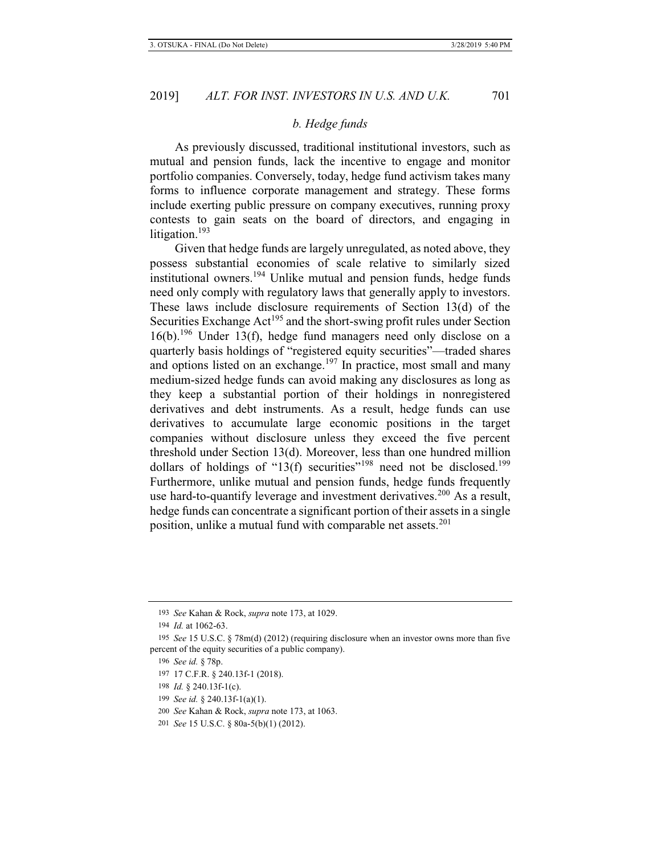# *b. Hedge funds*

As previously discussed, traditional institutional investors, such as mutual and pension funds, lack the incentive to engage and monitor portfolio companies. Conversely, today, hedge fund activism takes many forms to influence corporate management and strategy. These forms include exerting public pressure on company executives, running proxy contests to gain seats on the board of directors, and engaging in litigation.<sup>193</sup>

Given that hedge funds are largely unregulated, as noted above, they possess substantial economies of scale relative to similarly sized institutional owners.<sup>194</sup> Unlike mutual and pension funds, hedge funds need only comply with regulatory laws that generally apply to investors. These laws include disclosure requirements of Section 13(d) of the Securities Exchange  $Act^{195}$  and the short-swing profit rules under Section  $16(b)$ .<sup>196</sup> Under 13(f), hedge fund managers need only disclose on a quarterly basis holdings of "registered equity securities"—traded shares and options listed on an exchange.<sup>197</sup> In practice, most small and many medium-sized hedge funds can avoid making any disclosures as long as they keep a substantial portion of their holdings in nonregistered derivatives and debt instruments. As a result, hedge funds can use derivatives to accumulate large economic positions in the target companies without disclosure unless they exceed the five percent threshold under Section 13(d). Moreover, less than one hundred million dollars of holdings of "13(f) securities"<sup>198</sup> need not be disclosed.<sup>199</sup> Furthermore, unlike mutual and pension funds, hedge funds frequently use hard-to-quantify leverage and investment derivatives.<sup>200</sup> As a result, hedge funds can concentrate a significant portion of their assets in a single position, unlike a mutual fund with comparable net assets.<sup>201</sup>

197 17 C.F.R. § 240.13f-1 (2018).

<sup>193</sup> *See* Kahan & Rock, *supra* note 173, at 1029.

<sup>194</sup> *Id.* at 1062-63.

<sup>195</sup> *See* 15 U.S.C. § 78m(d) (2012) (requiring disclosure when an investor owns more than five percent of the equity securities of a public company).

<sup>196</sup> *See id.* § 78p.

<sup>198</sup> *Id.* § 240.13f-1(c).

<sup>199</sup> *See id.* § 240.13f-1(a)(1).

<sup>200</sup> *See* Kahan & Rock, *supra* note 173, at 1063.

<sup>201</sup> *See* 15 U.S.C. § 80a-5(b)(1) (2012).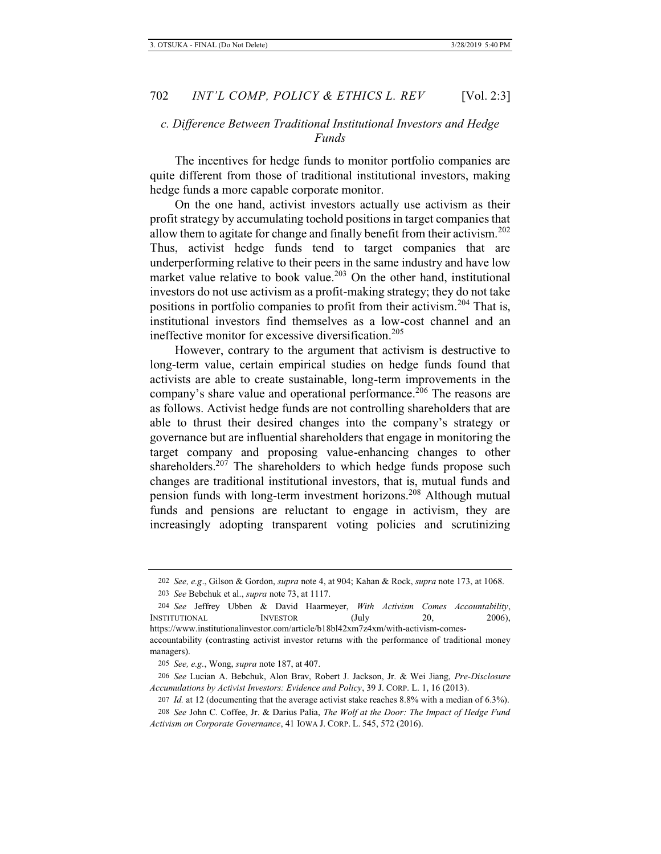# *c. Difference Between Traditional Institutional Investors and Hedge Funds*

The incentives for hedge funds to monitor portfolio companies are quite different from those of traditional institutional investors, making hedge funds a more capable corporate monitor.

On the one hand, activist investors actually use activism as their profit strategy by accumulating toehold positions in target companies that allow them to agitate for change and finally benefit from their activism.<sup>202</sup> Thus, activist hedge funds tend to target companies that are underperforming relative to their peers in the same industry and have low market value relative to book value.<sup>203</sup> On the other hand, institutional investors do not use activism as a profit-making strategy; they do not take positions in portfolio companies to profit from their activism.204 That is, institutional investors find themselves as a low-cost channel and an ineffective monitor for excessive diversification.<sup>205</sup>

However, contrary to the argument that activism is destructive to long-term value, certain empirical studies on hedge funds found that activists are able to create sustainable, long-term improvements in the company's share value and operational performance.<sup>206</sup> The reasons are as follows. Activist hedge funds are not controlling shareholders that are able to thrust their desired changes into the company's strategy or governance but are influential shareholders that engage in monitoring the target company and proposing value-enhancing changes to other shareholders.<sup>207</sup> The shareholders to which hedge funds propose such changes are traditional institutional investors, that is, mutual funds and pension funds with long-term investment horizons.<sup>208</sup> Although mutual funds and pensions are reluctant to engage in activism, they are increasingly adopting transparent voting policies and scrutinizing

<sup>202</sup> *See, e.g*., Gilson & Gordon, *supra* note 4, at 904; Kahan & Rock, *supra* note 173, at 1068. 203 *See* Bebchuk et al., *supra* note 73, at 1117.

<sup>204</sup> *See* Jeffrey Ubben & David Haarmeyer, *With Activism Comes Accountability*, INSTITUTIONAL INVESTOR (July 20, 2006), https://www.institutionalinvestor.com/article/b18bl42xm7z4xm/with-activism-comes-

accountability (contrasting activist investor returns with the performance of traditional money managers).

<sup>205</sup> *See, e.g.*, Wong, *supra* note 187, at 407.

<sup>206</sup> *See* Lucian A. Bebchuk, Alon Brav, Robert J. Jackson, Jr. & Wei Jiang, *Pre-Disclosure Accumulations by Activist Investors: Evidence and Policy*, 39 J. CORP. L. 1, 16 (2013).

<sup>207</sup> *Id.* at 12 (documenting that the average activist stake reaches 8.8% with a median of 6.3%).

<sup>208</sup> *See* John C. Coffee, Jr. & Darius Palia, *The Wolf at the Door: The Impact of Hedge Fund Activism on Corporate Governance*, 41 IOWA J. CORP. L. 545, 572 (2016).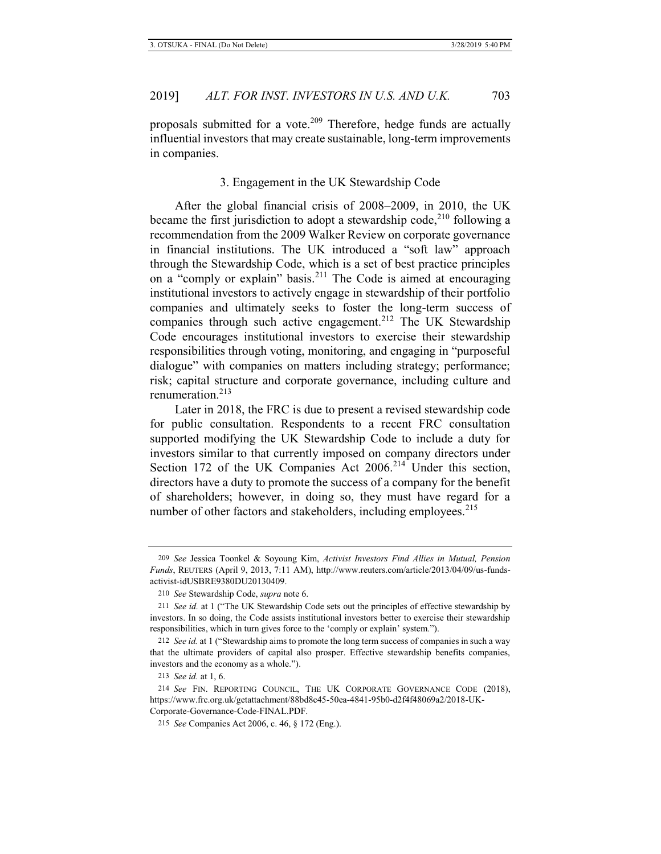proposals submitted for a vote.<sup>209</sup> Therefore, hedge funds are actually influential investors that may create sustainable, long-term improvements in companies.

## 3. Engagement in the UK Stewardship Code

After the global financial crisis of 2008–2009, in 2010, the UK became the first jurisdiction to adopt a stewardship code,<sup>210</sup> following a recommendation from the 2009 Walker Review on corporate governance in financial institutions. The UK introduced a "soft law" approach through the Stewardship Code, which is a set of best practice principles on a "comply or explain" basis.<sup>211</sup> The Code is aimed at encouraging institutional investors to actively engage in stewardship of their portfolio companies and ultimately seeks to foster the long-term success of companies through such active engagement.<sup>212</sup> The UK Stewardship Code encourages institutional investors to exercise their stewardship responsibilities through voting, monitoring, and engaging in "purposeful dialogue" with companies on matters including strategy; performance; risk; capital structure and corporate governance, including culture and renumeration.213

Later in 2018, the FRC is due to present a revised stewardship code for public consultation. Respondents to a recent FRC consultation supported modifying the UK Stewardship Code to include a duty for investors similar to that currently imposed on company directors under Section 172 of the UK Companies Act  $2006<sup>214</sup>$  Under this section, directors have a duty to promote the success of a company for the benefit of shareholders; however, in doing so, they must have regard for a number of other factors and stakeholders, including employees.<sup>215</sup>

<sup>209</sup> *See* Jessica Toonkel & Soyoung Kim, *Activist Investors Find Allies in Mutual, Pension Funds*, REUTERS (April 9, 2013, 7:11 AM), http://www.reuters.com/article/2013/04/09/us-fundsactivist-idUSBRE9380DU20130409.

<sup>210</sup> *See* Stewardship Code, *supra* note 6.

<sup>211</sup> *See id.* at 1 ("The UK Stewardship Code sets out the principles of effective stewardship by investors. In so doing, the Code assists institutional investors better to exercise their stewardship responsibilities, which in turn gives force to the 'comply or explain' system.").

<sup>212</sup> *See id.* at 1 ("Stewardship aims to promote the long term success of companies in such a way that the ultimate providers of capital also prosper. Effective stewardship benefits companies, investors and the economy as a whole.").

<sup>213</sup> *See id.* at 1, 6.

<sup>214</sup> *See* FIN. REPORTING COUNCIL, THE UK CORPORATE GOVERNANCE CODE (2018), https://www.frc.org.uk/getattachment/88bd8c45-50ea-4841-95b0-d2f4f48069a2/2018-UK-Corporate-Governance-Code-FINAL.PDF.

<sup>215</sup> *See* Companies Act 2006, c. 46, § 172 (Eng.).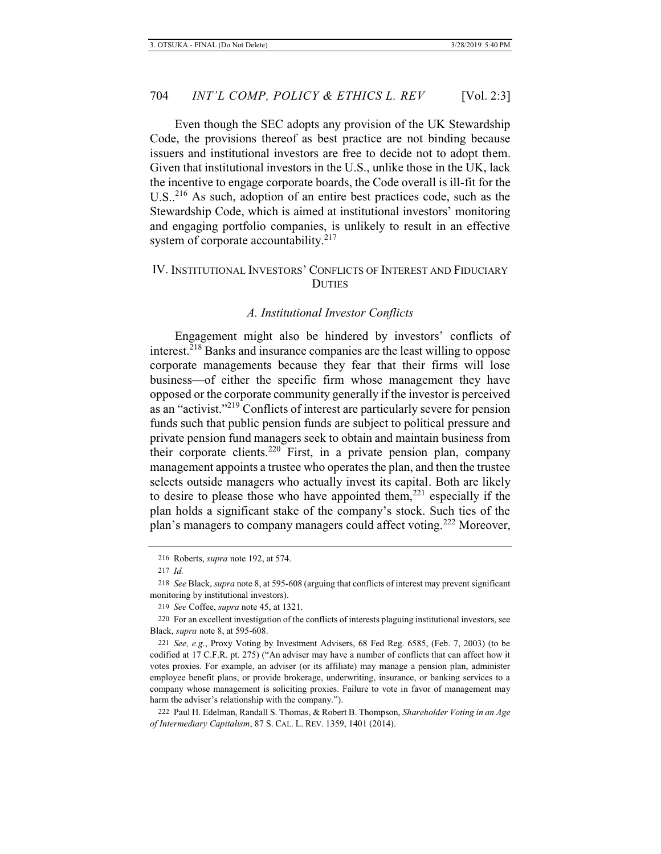Even though the SEC adopts any provision of the UK Stewardship Code, the provisions thereof as best practice are not binding because issuers and institutional investors are free to decide not to adopt them. Given that institutional investors in the U.S., unlike those in the UK, lack the incentive to engage corporate boards, the Code overall is ill-fit for the U.S..<sup>216</sup> As such, adoption of an entire best practices code, such as the Stewardship Code, which is aimed at institutional investors' monitoring and engaging portfolio companies, is unlikely to result in an effective system of corporate accountability. $217$ 

# IV. INSTITUTIONAL INVESTORS' CONFLICTS OF INTEREST AND FIDUCIARY **DUTIES**

## *A. Institutional Investor Conflicts*

Engagement might also be hindered by investors' conflicts of interest.<sup>218</sup> Banks and insurance companies are the least willing to oppose corporate managements because they fear that their firms will lose business—of either the specific firm whose management they have opposed or the corporate community generally if the investor is perceived as an "activist."219 Conflicts of interest are particularly severe for pension funds such that public pension funds are subject to political pressure and private pension fund managers seek to obtain and maintain business from their corporate clients.220 First, in a private pension plan, company management appoints a trustee who operates the plan, and then the trustee selects outside managers who actually invest its capital. Both are likely to desire to please those who have appointed them, $^{221}$  especially if the plan holds a significant stake of the company's stock. Such ties of the plan's managers to company managers could affect voting.<sup>222</sup> Moreover,

<sup>216</sup> Roberts, *supra* note 192, at 574.

<sup>217</sup> *Id.*

<sup>218</sup> *See* Black, *supra* note 8, at 595-608 (arguing that conflicts of interest may prevent significant monitoring by institutional investors).

<sup>219</sup> *See* Coffee, *supra* note 45, at 1321.

<sup>220</sup> For an excellent investigation of the conflicts of interests plaguing institutional investors, see Black, *supra* note 8, at 595-608.

<sup>221</sup> *See, e.g.*, Proxy Voting by Investment Advisers, 68 Fed Reg. 6585, (Feb. 7, 2003) (to be codified at 17 C.F.R. pt. 275) ("An adviser may have a number of conflicts that can affect how it votes proxies. For example, an adviser (or its affiliate) may manage a pension plan, administer employee benefit plans, or provide brokerage, underwriting, insurance, or banking services to a company whose management is soliciting proxies. Failure to vote in favor of management may harm the adviser's relationship with the company.").

<sup>222</sup> Paul H. Edelman, Randall S. Thomas, & Robert B. Thompson, *Shareholder Voting in an Age of Intermediary Capitalism*, 87 S. CAL. L. REV. 1359, 1401 (2014).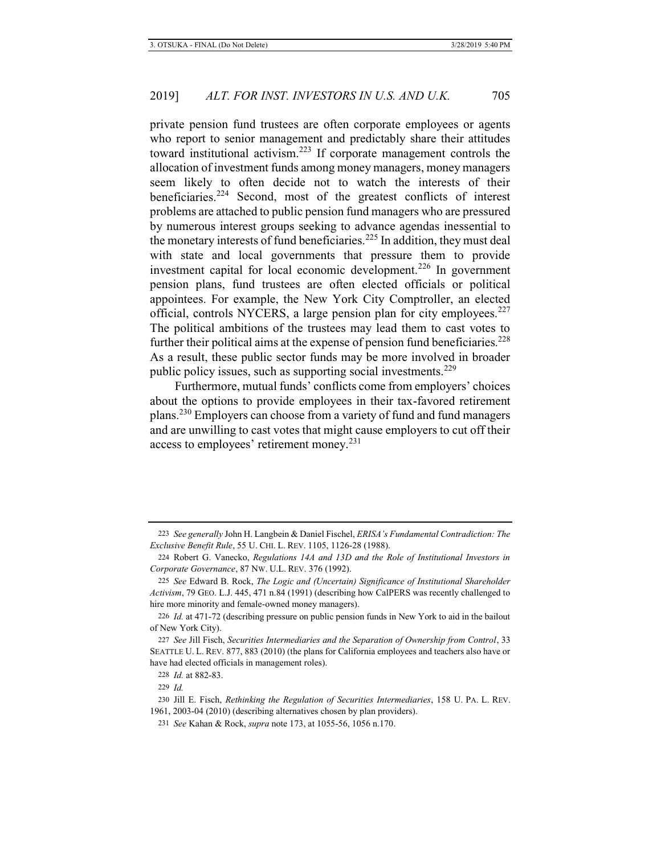private pension fund trustees are often corporate employees or agents who report to senior management and predictably share their attitudes toward institutional activism.223 If corporate management controls the allocation of investment funds among money managers, money managers seem likely to often decide not to watch the interests of their beneficiaries.<sup>224</sup> Second, most of the greatest conflicts of interest problems are attached to public pension fund managers who are pressured by numerous interest groups seeking to advance agendas inessential to the monetary interests of fund beneficiaries.<sup>225</sup> In addition, they must deal with state and local governments that pressure them to provide investment capital for local economic development.<sup>226</sup> In government pension plans, fund trustees are often elected officials or political appointees. For example, the New York City Comptroller, an elected official, controls NYCERS, a large pension plan for city employees.<sup>227</sup> The political ambitions of the trustees may lead them to cast votes to further their political aims at the expense of pension fund beneficiaries.<sup>228</sup> As a result, these public sector funds may be more involved in broader public policy issues, such as supporting social investments.<sup>229</sup>

Furthermore, mutual funds' conflicts come from employers' choices about the options to provide employees in their tax-favored retirement plans.230 Employers can choose from a variety of fund and fund managers and are unwilling to cast votes that might cause employers to cut off their access to employees' retirement money.<sup>231</sup>

<sup>223</sup> *See generally* John H. Langbein & Daniel Fischel, *ERISA's Fundamental Contradiction: The Exclusive Benefit Rule*, 55 U. CHI. L. REV. 1105, 1126-28 (1988).

<sup>224</sup> Robert G. Vanecko, *Regulations 14A and 13D and the Role of Institutional Investors in Corporate Governance*, 87 NW. U.L. REV. 376 (1992).

<sup>225</sup> *See* Edward B. Rock, *The Logic and (Uncertain) Significance of Institutional Shareholder Activism*, 79 GEO. L.J. 445, 471 n.84 (1991) (describing how CalPERS was recently challenged to hire more minority and female-owned money managers).

<sup>226</sup> *Id.* at 471-72 (describing pressure on public pension funds in New York to aid in the bailout of New York City).

<sup>227</sup> *See* Jill Fisch, *Securities Intermediaries and the Separation of Ownership from Control*, 33 SEATTLE U. L. REV. 877, 883 (2010) (the plans for California employees and teachers also have or have had elected officials in management roles).

<sup>228</sup> *Id.* at 882-83.

<sup>229</sup> *Id.*

<sup>230</sup> Jill E. Fisch, *Rethinking the Regulation of Securities Intermediaries*, 158 U. PA. L. REV. 1961, 2003-04 (2010) (describing alternatives chosen by plan providers).

<sup>231</sup> *See* Kahan & Rock, *supra* note 173, at 1055-56, 1056 n.170.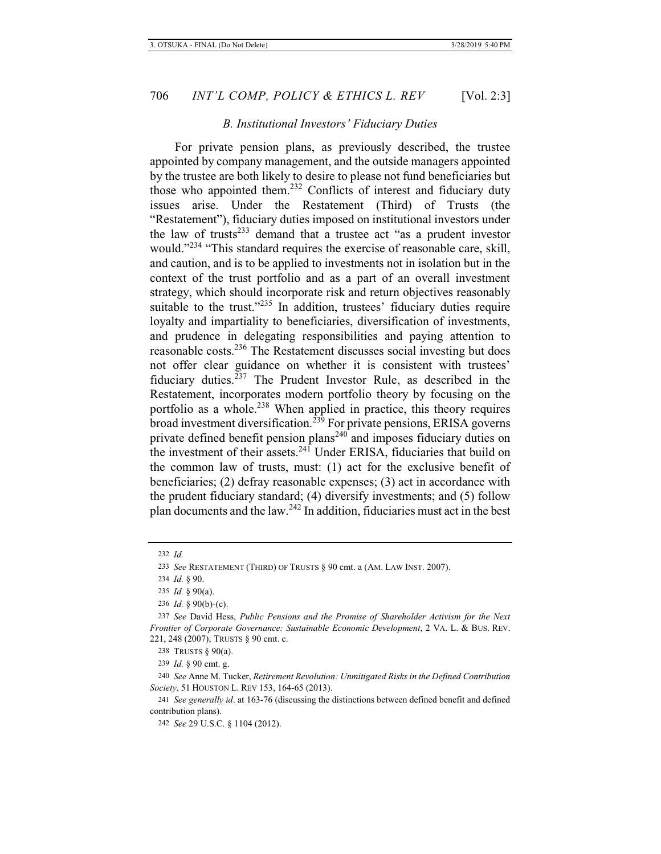## *B. Institutional Investors' Fiduciary Duties*

For private pension plans, as previously described, the trustee appointed by company management, and the outside managers appointed by the trustee are both likely to desire to please not fund beneficiaries but those who appointed them.<sup>232</sup> Conflicts of interest and fiduciary duty issues arise. Under the Restatement (Third) of Trusts (the "Restatement"), fiduciary duties imposed on institutional investors under the law of trusts<sup>233</sup> demand that a trustee act "as a prudent investor would."<sup>234</sup> "This standard requires the exercise of reasonable care, skill, and caution, and is to be applied to investments not in isolation but in the context of the trust portfolio and as a part of an overall investment strategy, which should incorporate risk and return objectives reasonably suitable to the trust."<sup>235</sup> In addition, trustees' fiduciary duties require loyalty and impartiality to beneficiaries, diversification of investments, and prudence in delegating responsibilities and paying attention to reasonable costs.236 The Restatement discusses social investing but does not offer clear guidance on whether it is consistent with trustees' fiduciary duties. $237$  The Prudent Investor Rule, as described in the Restatement, incorporates modern portfolio theory by focusing on the portfolio as a whole.<sup>238</sup> When applied in practice, this theory requires broad investment diversification.<sup>239</sup> For private pensions, ERISA governs private defined benefit pension plans<sup>240</sup> and imposes fiduciary duties on the investment of their assets.<sup>241</sup> Under ERISA, fiduciaries that build on the common law of trusts, must: (1) act for the exclusive benefit of beneficiaries; (2) defray reasonable expenses; (3) act in accordance with the prudent fiduciary standard; (4) diversify investments; and (5) follow plan documents and the law.242 In addition, fiduciaries must act in the best

238 TRUSTS § 90(a).

239 *Id.* § 90 cmt. g.

240 *See* Anne M. Tucker, *Retirement Revolution: Unmitigated Risks in the Defined Contribution Society*, 51 HOUSTON L. REV 153, 164-65 (2013).

<sup>232</sup> *Id.*

<sup>233</sup> *See* RESTATEMENT (THIRD) OF TRUSTS § 90 cmt. a (AM. LAW INST. 2007).

<sup>234</sup> *Id.* § 90.

<sup>235</sup> *Id.* § 90(a).

<sup>236</sup> *Id.* § 90(b)-(c).

<sup>237</sup> *See* David Hess, *Public Pensions and the Promise of Shareholder Activism for the Next Frontier of Corporate Governance: Sustainable Economic Development*, 2 VA. L. & BUS. REV. 221, 248 (2007); TRUSTS § 90 cmt. c.

<sup>241</sup> *See generally id*. at 163-76 (discussing the distinctions between defined benefit and defined contribution plans).

<sup>242</sup> *See* 29 U.S.C. § 1104 (2012).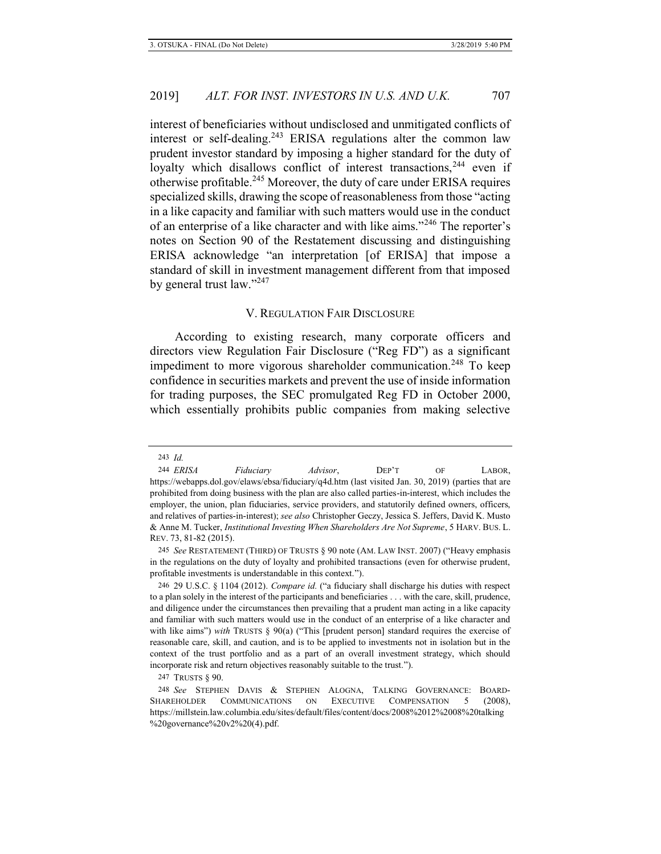interest of beneficiaries without undisclosed and unmitigated conflicts of interest or self-dealing.<sup>243</sup> ERISA regulations alter the common law prudent investor standard by imposing a higher standard for the duty of loyalty which disallows conflict of interest transactions,<sup>244</sup> even if otherwise profitable.245 Moreover, the duty of care under ERISA requires specialized skills, drawing the scope of reasonableness from those "acting in a like capacity and familiar with such matters would use in the conduct of an enterprise of a like character and with like aims."<sup>246</sup> The reporter's notes on Section 90 of the Restatement discussing and distinguishing ERISA acknowledge "an interpretation [of ERISA] that impose a standard of skill in investment management different from that imposed by general trust law."<sup>247</sup>

## V. REGULATION FAIR DISCLOSURE

According to existing research, many corporate officers and directors view Regulation Fair Disclosure ("Reg FD") as a significant impediment to more vigorous shareholder communication.<sup>248</sup> To keep confidence in securities markets and prevent the use of inside information for trading purposes, the SEC promulgated Reg FD in October 2000, which essentially prohibits public companies from making selective

247 TRUSTS § 90.

<sup>243</sup> *Id.*

<sup>244</sup> *ERISA Fiduciary Advisor*, DEP'T OF LABOR, https://webapps.dol.gov/elaws/ebsa/fiduciary/q4d.htm (last visited Jan. 30, 2019) (parties that are prohibited from doing business with the plan are also called parties-in-interest, which includes the employer, the union, plan fiduciaries, service providers, and statutorily defined owners, officers, and relatives of parties-in-interest); *see also* Christopher Geczy, Jessica S. Jeffers, David K. Musto & Anne M. Tucker, *Institutional Investing When Shareholders Are Not Supreme*, 5 HARV. BUS. L. REV. 73, 81-82 (2015).

<sup>245</sup> *See* RESTATEMENT (THIRD) OF TRUSTS § 90 note (AM. LAW INST. 2007) ("Heavy emphasis in the regulations on the duty of loyalty and prohibited transactions (even for otherwise prudent, profitable investments is understandable in this context.").

<sup>246 29</sup> U.S.C. § 1104 (2012). *Compare id.* ("a fiduciary shall discharge his duties with respect to a plan solely in the interest of the participants and beneficiaries . . . with the care, skill, prudence, and diligence under the circumstances then prevailing that a prudent man acting in a like capacity and familiar with such matters would use in the conduct of an enterprise of a like character and with like aims") *with* TRUSTS § 90(a) ("This [prudent person] standard requires the exercise of reasonable care, skill, and caution, and is to be applied to investments not in isolation but in the context of the trust portfolio and as a part of an overall investment strategy, which should incorporate risk and return objectives reasonably suitable to the trust.").

<sup>248</sup> *See* STEPHEN DAVIS & STEPHEN ALOGNA, TALKING GOVERNANCE: BOARD-SHAREHOLDER COMMUNICATIONS ON EXECUTIVE COMPENSATION 5 (2008), https://millstein.law.columbia.edu/sites/default/files/content/docs/2008%2012%2008%20talking %20governance%20v2%20(4).pdf.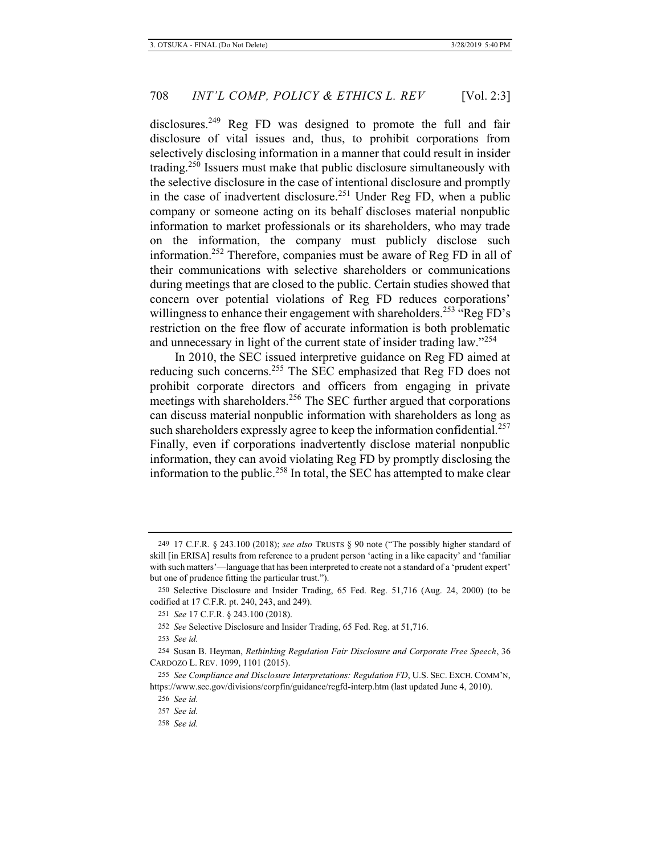disclosures.<sup>249</sup> Reg FD was designed to promote the full and fair disclosure of vital issues and, thus, to prohibit corporations from selectively disclosing information in a manner that could result in insider trading.250 Issuers must make that public disclosure simultaneously with the selective disclosure in the case of intentional disclosure and promptly in the case of inadvertent disclosure.<sup>251</sup> Under Reg FD, when a public company or someone acting on its behalf discloses material nonpublic information to market professionals or its shareholders, who may trade on the information, the company must publicly disclose such information.252 Therefore, companies must be aware of Reg FD in all of their communications with selective shareholders or communications during meetings that are closed to the public. Certain studies showed that concern over potential violations of Reg FD reduces corporations' willingness to enhance their engagement with shareholders.<sup>253</sup> "Reg FD's restriction on the free flow of accurate information is both problematic and unnecessary in light of the current state of insider trading law."<sup>254</sup>

In 2010, the SEC issued interpretive guidance on Reg FD aimed at reducing such concerns.<sup>255</sup> The SEC emphasized that Reg FD does not prohibit corporate directors and officers from engaging in private meetings with shareholders.<sup>256</sup> The SEC further argued that corporations can discuss material nonpublic information with shareholders as long as such shareholders expressly agree to keep the information confidential.<sup>257</sup> Finally, even if corporations inadvertently disclose material nonpublic information, they can avoid violating Reg FD by promptly disclosing the information to the public.<sup>258</sup> In total, the SEC has attempted to make clear

<sup>249 17</sup> C.F.R. § 243.100 (2018); *see also* TRUSTS § 90 note ("The possibly higher standard of skill [in ERISA] results from reference to a prudent person 'acting in a like capacity' and 'familiar with such matters'—language that has been interpreted to create not a standard of a 'prudent expert' but one of prudence fitting the particular trust.").

<sup>250</sup> Selective Disclosure and Insider Trading, 65 Fed. Reg. 51,716 (Aug. 24, 2000) (to be codified at 17 C.F.R. pt. 240, 243, and 249).

<sup>251</sup> *See* 17 C.F.R. § 243.100 (2018).

<sup>252</sup> *See* Selective Disclosure and Insider Trading, 65 Fed. Reg. at 51,716.

<sup>253</sup> *See id.*

<sup>254</sup> Susan B. Heyman, *Rethinking Regulation Fair Disclosure and Corporate Free Speech*, 36 CARDOZO L. REV. 1099, 1101 (2015).

<sup>255</sup> *See Compliance and Disclosure Interpretations: Regulation FD*, U.S. SEC. EXCH. COMM'N, https://www.sec.gov/divisions/corpfin/guidance/regfd-interp.htm (last updated June 4, 2010).

<sup>256</sup> *See id.*

<sup>257</sup> *See id.*

<sup>258</sup> *See id.*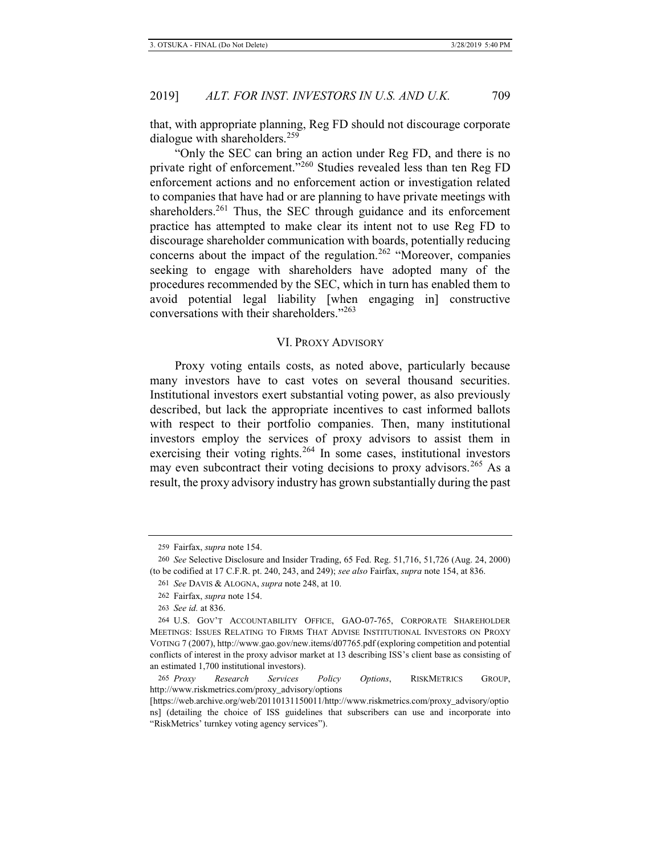that, with appropriate planning, Reg FD should not discourage corporate dialogue with shareholders.<sup>259</sup>

"Only the SEC can bring an action under Reg FD, and there is no private right of enforcement.<sup>"260</sup> Studies revealed less than ten Reg FD enforcement actions and no enforcement action or investigation related to companies that have had or are planning to have private meetings with shareholders.<sup>261</sup> Thus, the SEC through guidance and its enforcement practice has attempted to make clear its intent not to use Reg FD to discourage shareholder communication with boards, potentially reducing concerns about the impact of the regulation.<sup>262</sup> "Moreover, companies seeking to engage with shareholders have adopted many of the procedures recommended by the SEC, which in turn has enabled them to avoid potential legal liability [when engaging in] constructive conversations with their shareholders."<sup>263</sup>

## VI. PROXY ADVISORY

Proxy voting entails costs, as noted above, particularly because many investors have to cast votes on several thousand securities. Institutional investors exert substantial voting power, as also previously described, but lack the appropriate incentives to cast informed ballots with respect to their portfolio companies. Then, many institutional investors employ the services of proxy advisors to assist them in exercising their voting rights.<sup>264</sup> In some cases, institutional investors may even subcontract their voting decisions to proxy advisors.<sup>265</sup> As a result, the proxy advisory industry has grown substantially during the past

<sup>259</sup> Fairfax, *supra* note 154.

<sup>260</sup> *See* Selective Disclosure and Insider Trading, 65 Fed. Reg. 51,716, 51,726 (Aug. 24, 2000) (to be codified at 17 C.F.R. pt. 240, 243, and 249); *see also* Fairfax, *supra* note 154, at 836.

<sup>261</sup> *See* DAVIS & ALOGNA, *supra* note 248, at 10.

<sup>262</sup> Fairfax, *supra* note 154.

<sup>263</sup> *See id.* at 836.

<sup>264</sup> U.S. GOV'T ACCOUNTABILITY OFFICE, GAO-07-765, CORPORATE SHAREHOLDER MEETINGS: ISSUES RELATING TO FIRMS THAT ADVISE INSTITUTIONAL INVESTORS ON PROXY VOTING 7 (2007), http://www.gao.gov/new.items/d07765.pdf (exploring competition and potential conflicts of interest in the proxy advisor market at 13 describing ISS's client base as consisting of an estimated 1,700 institutional investors).

<sup>265</sup> *Proxy Research Services Policy Options*, RISKMETRICS GROUP, http://www.riskmetrics.com/proxy\_advisory/options

<sup>[</sup>https://web.archive.org/web/20110131150011/http://www.riskmetrics.com/proxy\_advisory/optio ns] (detailing the choice of ISS guidelines that subscribers can use and incorporate into "RiskMetrics' turnkey voting agency services").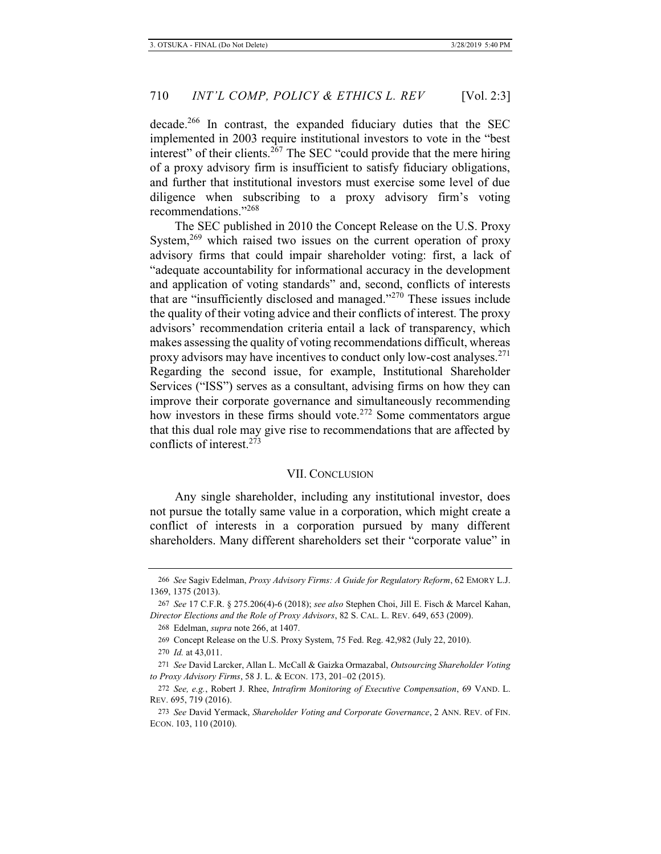decade.<sup>266</sup> In contrast, the expanded fiduciary duties that the SEC implemented in 2003 require institutional investors to vote in the "best interest" of their clients. $267$  The SEC "could provide that the mere hiring of a proxy advisory firm is insufficient to satisfy fiduciary obligations, and further that institutional investors must exercise some level of due diligence when subscribing to a proxy advisory firm's voting recommendations."<sup>268</sup>

The SEC published in 2010 the Concept Release on the U.S. Proxy System,<sup>269</sup> which raised two issues on the current operation of proxy advisory firms that could impair shareholder voting: first, a lack of "adequate accountability for informational accuracy in the development and application of voting standards" and, second, conflicts of interests that are "insufficiently disclosed and managed."270 These issues include the quality of their voting advice and their conflicts of interest. The proxy advisors' recommendation criteria entail a lack of transparency, which makes assessing the quality of voting recommendations difficult, whereas proxy advisors may have incentives to conduct only low-cost analyses.<sup>271</sup> Regarding the second issue, for example, Institutional Shareholder Services ("ISS") serves as a consultant, advising firms on how they can improve their corporate governance and simultaneously recommending how investors in these firms should vote.<sup>272</sup> Some commentators argue that this dual role may give rise to recommendations that are affected by conflicts of interest.<sup>273</sup>

## VII. CONCLUSION

Any single shareholder, including any institutional investor, does not pursue the totally same value in a corporation, which might create a conflict of interests in a corporation pursued by many different shareholders. Many different shareholders set their "corporate value" in

<sup>266</sup> *See* Sagiv Edelman, *Proxy Advisory Firms: A Guide for Regulatory Reform*, 62 EMORY L.J. 1369, 1375 (2013).

<sup>267</sup> *See* 17 C.F.R. § 275.206(4)-6 (2018); *see also* Stephen Choi, Jill E. Fisch & Marcel Kahan, *Director Elections and the Role of Proxy Advisors*, 82 S. CAL. L. REV. 649, 653 (2009).

<sup>268</sup> Edelman, *supra* note 266, at 1407.

<sup>269</sup> Concept Release on the U.S. Proxy System, 75 Fed. Reg. 42,982 (July 22, 2010).

<sup>270</sup> *Id.* at 43,011.

<sup>271</sup> *See* David Larcker, Allan L. McCall & Gaizka Ormazabal, *Outsourcing Shareholder Voting to Proxy Advisory Firms*, 58 J. L. & ECON. 173, 201–02 (2015).

<sup>272</sup> *See, e.g.*, Robert J. Rhee, *Intrafirm Monitoring of Executive Compensation*, 69 VAND. L. REV. 695, 719 (2016).

<sup>273</sup> *See* David Yermack, *Shareholder Voting and Corporate Governance*, 2 ANN. REV. of FIN. ECON. 103, 110 (2010).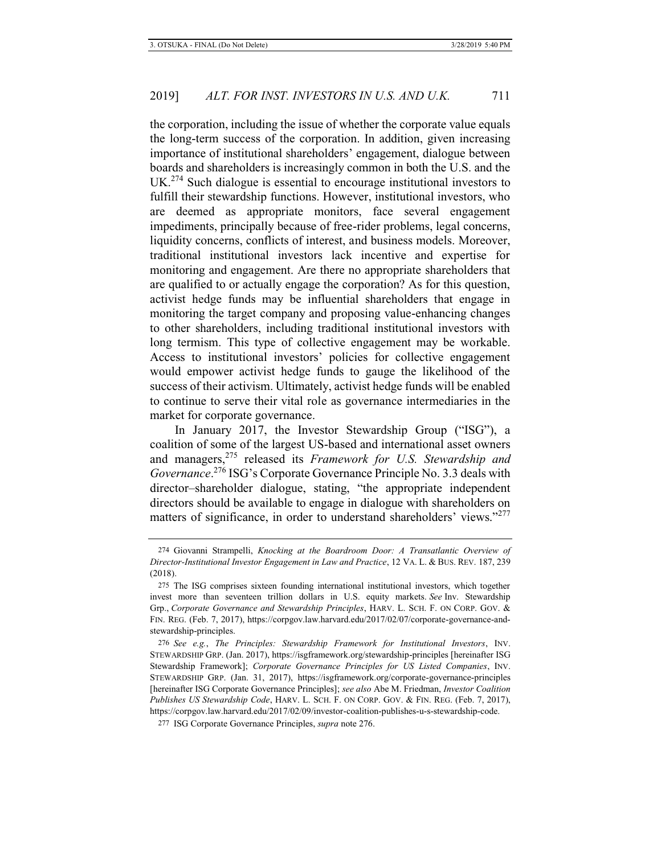the corporation, including the issue of whether the corporate value equals the long-term success of the corporation. In addition, given increasing importance of institutional shareholders' engagement, dialogue between boards and shareholders is increasingly common in both the U.S. and the UK.<sup>274</sup> Such dialogue is essential to encourage institutional investors to fulfill their stewardship functions. However, institutional investors, who are deemed as appropriate monitors, face several engagement impediments, principally because of free-rider problems, legal concerns, liquidity concerns, conflicts of interest, and business models. Moreover, traditional institutional investors lack incentive and expertise for monitoring and engagement. Are there no appropriate shareholders that are qualified to or actually engage the corporation? As for this question, activist hedge funds may be influential shareholders that engage in monitoring the target company and proposing value-enhancing changes to other shareholders, including traditional institutional investors with long termism. This type of collective engagement may be workable. Access to institutional investors' policies for collective engagement would empower activist hedge funds to gauge the likelihood of the success of their activism. Ultimately, activist hedge funds will be enabled to continue to serve their vital role as governance intermediaries in the market for corporate governance.

In January 2017, the Investor Stewardship Group ("ISG"), a coalition of some of the largest US-based and international asset owners and managers,275 released its *Framework for U.S. Stewardship and Governance*. <sup>276</sup> ISG's Corporate Governance Principle No. 3.3 deals with director–shareholder dialogue, stating, "the appropriate independent directors should be available to engage in dialogue with shareholders on matters of significance, in order to understand shareholders' views."277

<sup>274</sup> Giovanni Strampelli, *Knocking at the Boardroom Door: A Transatlantic Overview of Director-Institutional Investor Engagement in Law and Practice*, 12 VA. L. & BUS. REV. 187, 239 (2018).

<sup>275</sup> The ISG comprises sixteen founding international institutional investors, which together invest more than seventeen trillion dollars in U.S. equity markets. *See* Inv. Stewardship Grp., *Corporate Governance and Stewardship Principles*, HARV. L. SCH. F. ON CORP. GOV. & FIN. REG. (Feb. 7, 2017), https://corpgov.law.harvard.edu/2017/02/07/corporate-governance-andstewardship-principles.

<sup>276</sup> *See e.g.*, *The Principles: Stewardship Framework for Institutional Investors*, INV. STEWARDSHIP GRP. (Jan. 2017), https://isgframework.org/stewardship-principles [hereinafter ISG Stewardship Framework]; *Corporate Governance Principles for US Listed Companies*, INV. STEWARDSHIP GRP. (Jan. 31, 2017), https://isgframework.org/corporate-governance-principles [hereinafter ISG Corporate Governance Principles]; *see also* Abe M. Friedman, *Investor Coalition Publishes US Stewardship Code*, HARV. L. SCH. F. ON CORP. GOV. & FIN. REG. (Feb. 7, 2017), https://corpgov.law.harvard.edu/2017/02/09/investor-coalition-publishes-u-s-stewardship-code.

<sup>277</sup> ISG Corporate Governance Principles, *supra* note 276.